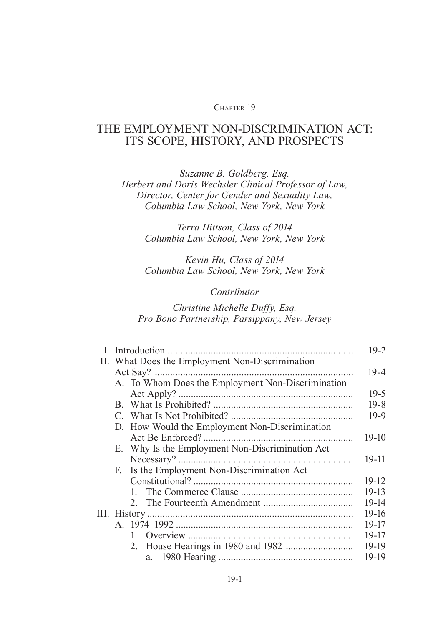### CHAPTER 19

# THE EMPLOYMENT NON-DISCRIMINATION ACT: ITS SCOPE, HISTORY, AND PROSPECTS

*Suzanne B. Goldberg, Esq. Herbert and Doris Wechsler Clinical Professor of Law, Director, Center for Gender and Sexuality Law, Columbia Law School, New York, New York*

*Terra Hittson, Class of 2014 Columbia Law School, New York, New York*

*Kevin Hu, Class of 2014 Columbia Law School, New York, New York*

# *Contributor*

## *Christine Michelle Duffy, Esq. Pro Bono Partnership, Parsippany, New Jersey*

| II. What Does the Employment Non-Discrimination |                                                   |        |
|-------------------------------------------------|---------------------------------------------------|--------|
|                                                 | $19-4$                                            |        |
|                                                 | A. To Whom Does the Employment Non-Discrimination |        |
|                                                 |                                                   | $19-5$ |
|                                                 |                                                   | $19-8$ |
|                                                 |                                                   | 19-9   |
|                                                 | D. How Would the Employment Non-Discrimination    |        |
|                                                 |                                                   | 19-10  |
| Е.                                              | Why Is the Employment Non-Discrimination Act      |        |
|                                                 |                                                   | 19-11  |
| F.                                              | Is the Employment Non-Discrimination Act          |        |
|                                                 |                                                   | 19-12  |
|                                                 |                                                   | 19-13  |
|                                                 |                                                   | 19-14  |
|                                                 |                                                   | 19-16  |
|                                                 |                                                   | 19-17  |
|                                                 |                                                   | 19-17  |
|                                                 |                                                   | 19-19  |
|                                                 |                                                   | 19-19  |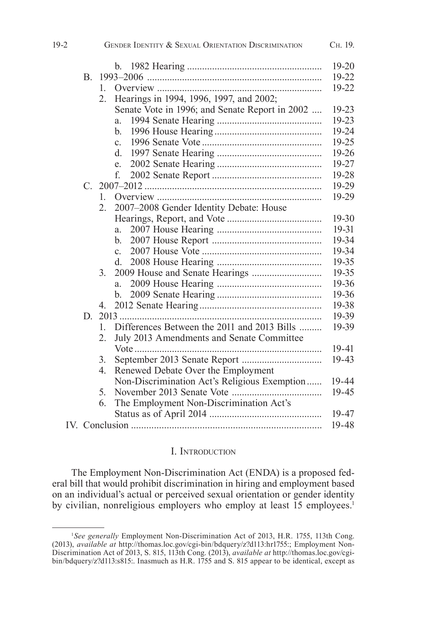| $19 - 2$ | <b>GENDER IDENTITY &amp; SEXUAL ORIENTATION DISCRIMINATION</b>                                                      | C <sub>H</sub> . 19. |
|----------|---------------------------------------------------------------------------------------------------------------------|----------------------|
|          | b.                                                                                                                  | $19 - 20$            |
|          |                                                                                                                     | 19-22                |
|          | 1<br>$0$ verview $\ldots$ $\ldots$ $\ldots$ $\ldots$ $\ldots$ $\ldots$ $\ldots$ $\ldots$ $\ldots$ $\ldots$ $\ldots$ | 19-22                |
|          | Hearings in 1994, 1996, 1997, and 2002;<br>2.                                                                       |                      |
|          | Senate Vote in 1996; and Senate Report in 2002                                                                      | 19-23                |
|          | $\overline{a}$ .                                                                                                    | 19-23                |
|          | $\mathbf{b}$ .                                                                                                      | 19-24                |
|          | $\mathbf{c}$                                                                                                        | 19-25                |
|          | <sub>d</sub>                                                                                                        | $19 - 26$            |
|          | e.                                                                                                                  | 19-27                |
|          | f.                                                                                                                  | 19-28                |
|          |                                                                                                                     | 19-29                |
|          | 1.                                                                                                                  | 19-29                |
|          | 2007-2008 Gender Identity Debate: House<br>$\mathbf{2}$                                                             |                      |
|          |                                                                                                                     | 19-30                |
|          | a.                                                                                                                  | 19-31                |
|          | <sub>b</sub>                                                                                                        | 19-34                |
|          | $\mathbf{c}$ .                                                                                                      | 19-34                |
|          | d.                                                                                                                  | 19-35                |
|          | 3.                                                                                                                  | 19-35                |
|          | a.                                                                                                                  | 19-36                |
|          | $\mathbf{b}$ .                                                                                                      | 19-36                |
|          | 4.                                                                                                                  | 19-38                |
|          |                                                                                                                     | 19-39                |
|          | Differences Between the 2011 and 2013 Bills<br>1.                                                                   | 19-39                |
|          | July 2013 Amendments and Senate Committee<br>2.                                                                     |                      |
|          |                                                                                                                     | 19-41                |
|          | 3 <sub>1</sub>                                                                                                      | 19-43                |
|          | Renewed Debate Over the Employment<br>4.                                                                            |                      |
|          | Non-Discrimination Act's Religious Exemption                                                                        | 19-44                |
|          | 5.                                                                                                                  | 19-45                |
|          | The Employment Non-Discrimination Act's<br>6.                                                                       |                      |
|          |                                                                                                                     | 19-47                |
|          |                                                                                                                     | 19-48                |

### I. Introduction

The Employment Non-Discrimination Act (ENDA) is a proposed federal bill that would prohibit discrimination in hiring and employment based on an individual's actual or perceived sexual orientation or gender identity by civilian, nonreligious employers who employ at least 15 employees.<sup>1</sup>

<sup>&</sup>lt;sup>1</sup>See generally Employment Non-Discrimination Act of 2013, H.R. 1755, 113th Cong. (2013), *available at* http://thomas.loc.gov/cgi-bin/bdquery/z?d113:hr1755:; Employment Non-Discrimination Act of 2013, S. 815, 113th Cong. (2013), *available at* http://thomas.loc.gov/cgibin/bdquery/z?d113:s815:. Inasmuch as H.R. 1755 and S. 815 appear to be identical, except as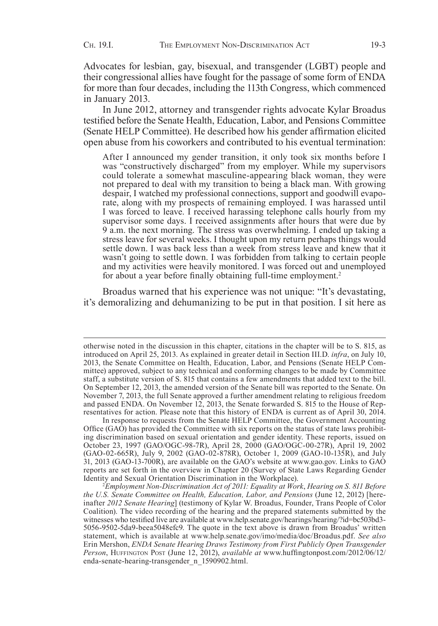Advocates for lesbian, gay, bisexual, and transgender (LGBT) people and their congressional allies have fought for the passage of some form of ENDA for more than four decades, including the 113th Congress, which commenced in January 2013.

In June 2012, attorney and transgender rights advocate Kylar Broadus testified before the Senate Health, Education, Labor, and Pensions Committee (Senate HELP Committee). He described how his gender affirmation elicited open abuse from his coworkers and contributed to his eventual termination:

After I announced my gender transition, it only took six months before I was "constructively discharged" from my employer. While my supervisors could tolerate a somewhat masculine-appearing black woman, they were not prepared to deal with my transition to being a black man. With growing despair, I watched my professional connections, support and goodwill evaporate, along with my prospects of remaining employed. I was harassed until I was forced to leave. I received harassing telephone calls hourly from my supervisor some days. I received assignments after hours that were due by 9 a.m. the next morning. The stress was overwhelming. I ended up taking a stress leave for several weeks. I thought upon my return perhaps things would settle down. I was back less than a week from stress leave and knew that it wasn't going to settle down. I was forbidden from talking to certain people and my activities were heavily monitored. I was forced out and unemployed for about a year before finally obtaining full-time employment.<sup>2</sup>

Broadus warned that his experience was not unique: "It's devastating, it's demoralizing and dehumanizing to be put in that position. I sit here as

In response to requests from the Senate HELP Committee, the Government Accounting Office (GAO) has provided the Committee with six reports on the status of state laws prohibiting discrimination based on sexual orientation and gender identity. These reports, issued on October 23, 1997 (GAO/OGC-98-7R), April 28, 2000 (GAO/OGC-00-27R), April 19, 2002 (GAO-02-665R), July 9, 2002 (GAO-02-878R), October 1, 2009 (GAO-10-135R), and July 31, 2013 (GAO-13-700R), are available on the GAO's website at www.gao.gov. Links to GAO reports are set forth in the overview in Chapter 20 (Survey of State Laws Regarding Gender Identity and Sexual Orientation Discrimination in the Workplace).

2 *Employment Non-Discrimination Act of 2011: Equality at Work*, *Hearing on S. 811 Before the U.S. Senate Committee on Health, Education, Labor, and Pensions* (June 12, 2012) [hereinafter *2012 Senate Hearing*] (testimony of Kylar W. Broadus, Founder, Trans People of Color Coalition). The video recording of the hearing and the prepared statements submitted by the witnesses who testified live are available at www.help.senate.gov/hearings/hearing/?id=bc503bd3-5056-9502-5da9-beea5048efc9. The quote in the text above is drawn from Broadus' written statement, which is available at www.help.senate.gov/imo/media/doc/Broadus.pdf. *See also* Erin Mershon, *ENDA Senate Hearing Draws Testimony from First Publicly Open Transgender Person*, Huffington Post (June 12, 2012), *available at* www.huffingtonpost.com/2012/06/12/ enda-senate-hearing-transgender\_n\_1590902.html.

otherwise noted in the discussion in this chapter, citations in the chapter will be to S. 815, as introduced on April 25, 2013. As explained in greater detail in Section III.D. *infra*, on July 10, 2013, the Senate Committee on Health, Education, Labor, and Pensions (Senate HELP Committee) approved, subject to any technical and conforming changes to be made by Committee staff, a substitute version of S. 815 that contains a few amendments that added text to the bill. On September 12, 2013, the amended version of the Senate bill was reported to the Senate. On November 7, 2013, the full Senate approved a further amendment relating to religious freedom and passed ENDA. On November 12, 2013, the Senate forwarded S. 815 to the House of Representatives for action. Please note that this history of ENDA is current as of April 30, 2014.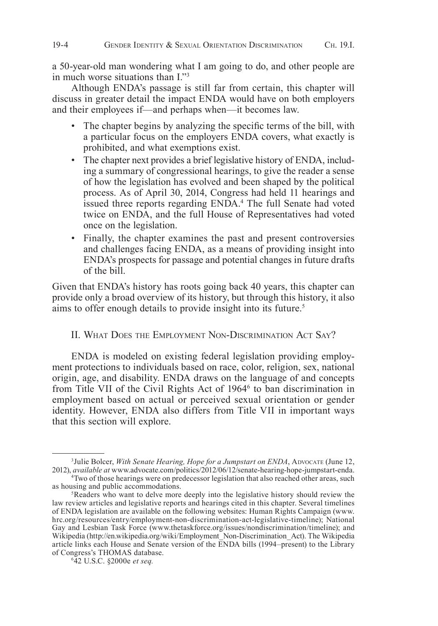a 50-year-old man wondering what I am going to do, and other people are in much worse situations than I."3

Although ENDA's passage is still far from certain, this chapter will discuss in greater detail the impact ENDA would have on both employers and their employees if—and perhaps when—it becomes law.

- The chapter begins by analyzing the specific terms of the bill, with a particular focus on the employers ENDA covers, what exactly is prohibited, and what exemptions exist.
- The chapter next provides a brief legislative history of ENDA, including a summary of congressional hearings, to give the reader a sense of how the legislation has evolved and been shaped by the political process. As of April 30, 2014, Congress had held 11 hearings and issued three reports regarding ENDA.<sup>4</sup> The full Senate had voted twice on ENDA, and the full House of Representatives had voted once on the legislation.
- Finally, the chapter examines the past and present controversies and challenges facing ENDA, as a means of providing insight into ENDA's prospects for passage and potential changes in future drafts of the bill.

Given that ENDA's history has roots going back 40 years, this chapter can provide only a broad overview of its history, but through this history, it also aims to offer enough details to provide insight into its future.<sup>5</sup>

## II. WHAT DOES THE EMPLOYMENT NON-DISCRIMINATION ACT SAY?

ENDA is modeled on existing federal legislation providing employment protections to individuals based on race, color, religion, sex, national origin, age, and disability. ENDA draws on the language of and concepts from Title VII of the Civil Rights Act of 1964<sup>6</sup> to ban discrimination in employment based on actual or perceived sexual orientation or gender identity. However, ENDA also differs from Title VII in important ways that this section will explore.

<sup>&</sup>lt;sup>3</sup> Julie Bolcer, *With Senate Hearing, Hope for a Jumpstart on ENDA*, ADVOCATE (June 12, 2012), *available at* www.advocate.com/politics/2012/06/12/senate-hearing-hope-jumpstart-enda. 4Two of those hearings were on predecessor legislation that also reached other areas, such as housing and public accommodations.

<sup>5</sup>Readers who want to delve more deeply into the legislative history should review the law review articles and legislative reports and hearings cited in this chapter. Several timelines of ENDA legislation are available on the following websites: Human Rights Campaign (www. hrc.org/resources/entry/employment-non-discrimination-act-legislative-timeline); National Gay and Lesbian Task Force (www.thetaskforce.org/issues/nondiscrimination/timeline); and Wikipedia (http://en.wikipedia.org/wiki/Employment\_Non-Discrimination\_Act). The Wikipedia article links each House and Senate version of the ENDA bills (1994–present) to the Library of Congress's THOMAS database.

<sup>642</sup> U.S.C. §2000e *et seq.*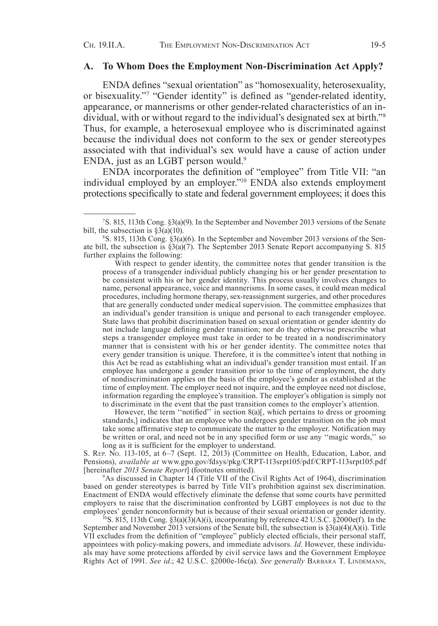#### **A. To Whom Does the Employment Non-Discrimination Act Apply?**

ENDA defines "sexual orientation" as "homosexuality, heterosexuality, or bisexuality."7 "Gender identity" is defined as "gender-related identity, appearance, or mannerisms or other gender-related characteristics of an individual, with or without regard to the individual's designated sex at birth."8 Thus, for example, a heterosexual employee who is discriminated against because the individual does not conform to the sex or gender stereotypes associated with that individual's sex would have a cause of action under ENDA, just as an LGBT person would.<sup>9</sup>

ENDA incorporates the definition of "employee" from Title VII: "an individual employed by an employer."10 ENDA also extends employment protections specifically to state and federal government employees; it does this

With respect to gender identity, the committee notes that gender transition is the process of a transgender individual publicly changing his or her gender presentation to be consistent with his or her gender identity. This process usually involves changes to name, personal appearance, voice and mannerisms. In some cases, it could mean medical procedures, including hormone therapy, sex-reassignment surgeries, and other procedures that are generally conducted under medical supervision. The committee emphasizes that an individual's gender transition is unique and personal to each transgender employee. State laws that prohibit discrimination based on sexual orientation or gender identity do not include language defining gender transition; nor do they otherwise prescribe what steps a transgender employee must take in order to be treated in a nondiscriminatory manner that is consistent with his or her gender identity. The committee notes that every gender transition is unique. Therefore, it is the committee's intent that nothing in this Act be read as establishing what an individual's gender transition must entail. If an employee has undergone a gender transition prior to the time of employment, the duty of nondiscrimination applies on the basis of the employee's gender as established at the time of employment. The employer need not inquire, and the employee need not disclose, information regarding the employee's transition. The employer's obligation is simply not to discriminate in the event that the past transition comes to the employer's attention.

However, the term "notified" in section  $8(a)$ [, which pertains to dress or grooming standards,] indicates that an employee who undergoes gender transition on the job must take some affirmative step to communicate the matter to the employer. Notification may be written or oral, and need not be in any specified form or use any ''magic words,'' so long as it is sufficient for the employer to understand.

S. Rep. No. 113-105, at 6–7 (Sept. 12, 2013) (Committee on Health, Education, Labor, and Pensions), *available at* www.gpo.gov/fdsys/pkg/CRPT-113srpt105/pdf/CRPT-113srpt105.pdf [hereinafter *2013 Senate Report*] (footnotes omitted).

9As discussed in Chapter 14 (Title VII of the Civil Rights Act of 1964), discrimination based on gender stereotypes is barred by Title VII's prohibition against sex discrimination. Enactment of ENDA would effectively eliminate the defense that some courts have permitted employers to raise that the discrimination confronted by LGBT employees is not due to the employees' gender nonconformity but is because of their sexual orientation or gender identity.

<sup>0</sup>S. 815, 113th Cong.  $\S3(a)(3)(A)(i)$ , incorporating by reference 42 U.S.C.  $\S2000e(f)$ . In the September and November 2013 versions of the Senate bill, the subsection is  $\S3(a)(4)(A)(i)$ . Title VII excludes from the definition of "employee" publicly elected officials, their personal staff, appointees with policy-making powers, and immediate advisors. *Id*. However, these individuals may have some protections afforded by civil service laws and the Government Employee Rights Act of 1991. *See id*.; 42 U.S.C. §2000e-16c(a). *See generally* Barbara T. Lindemann,

<sup>7</sup>S. 815, 113th Cong. §3(a)(9). In the September and November 2013 versions of the Senate bill, the subsection is  $\S3(a)(10)$ .

<sup>8</sup>S. 815, 113th Cong. §3(a)(6). In the September and November 2013 versions of the Senate bill, the subsection is  $\S3(a)(7)$ . The September 2013 Senate Report accompanying S. 815 further explains the following: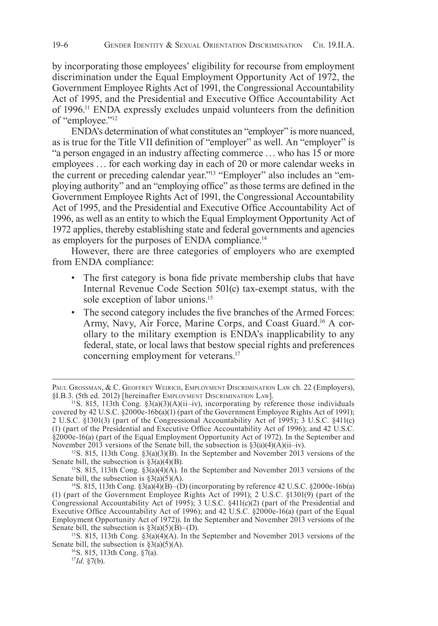by incorporating those employees' eligibility for recourse from employment discrimination under the Equal Employment Opportunity Act of 1972, the Government Employee Rights Act of 1991, the Congressional Accountability Act of 1995, and the Presidential and Executive Office Accountability Act of 1996.11 ENDA expressly excludes unpaid volunteers from the definition of "employee."12

ENDA's determination of what constitutes an "employer" is more nuanced, as is true for the Title VII definition of "employer" as well. An "employer" is "a person engaged in an industry affecting commerce ... who has 15 or more employees ... for each working day in each of 20 or more calendar weeks in the current or preceding calendar year."13 "Employer" also includes an "employing authority" and an "employing office" as those terms are defined in the Government Employee Rights Act of 1991, the Congressional Accountability Act of 1995, and the Presidential and Executive Office Accountability Act of 1996, as well as an entity to which the Equal Employment Opportunity Act of 1972 applies, thereby establishing state and federal governments and agencies as employers for the purposes of ENDA compliance.<sup>14</sup>

However, there are three categories of employers who are exempted from ENDA compliance:

- The first category is bona fide private membership clubs that have Internal Revenue Code Section 501(c) tax-exempt status, with the sole exception of labor unions.<sup>15</sup>
- The second category includes the five branches of the Armed Forces: Army, Navy, Air Force, Marine Corps, and Coast Guard.<sup>16</sup> A corollary to the military exemption is ENDA's inapplicability to any federal, state, or local laws that bestow special rights and preferences concerning employment for veterans.<sup>17</sup>

17*Id*. §7(b).

PAUL GROSSMAN, & C. GEOFFREY WEIRICH, EMPLOYMENT DISCRIMINATION LAW ch. 22 (Employers), §I.B.3. (5th ed. 2012) [hereinafter Employment Discrimination Law].

<sup>&</sup>lt;sup>11</sup>S. 815, 113th Cong.  $\S3(a)(3)(A)(ii-iv)$ , incorporating by reference those individuals covered by 42 U.S.C. §2000e-16b(a)(1) (part of the Government Employee Rights Act of 1991); 2 U.S.C. §1301(3) (part of the Congressional Accountability Act of 1995); 3 U.S.C. §411(c) (1) (part of the Presidential and Executive Office Accountability Act of 1996); and 42 U.S.C. §2000e-16(a) (part of the Equal Employment Opportunity Act of 1972). In the September and November 2013 versions of the Senate bill, the subsection is  $\S3(a)(4)(A)(ii-iv)$ .

<sup>&</sup>lt;sup>12</sup>S. 815, 113th Cong. §3(a)(3)(B). In the September and November 2013 versions of the Senate bill, the subsection is  $\S3(a)(4)(B)$ .

<sup>13</sup>S. 815, 113th Cong. §3(a)(4)(A). In the September and November 2013 versions of the Senate bill, the subsection is  $\S3(a)(5)(A)$ .

<sup>&</sup>lt;sup>14</sup>S. 815, 113th Cong.  $\S3(a)(4)(B)$ –(D) (incorporating by reference 42 U.S.C.  $\S2000e-16b(a)$ (1) (part of the Government Employee Rights Act of 1991); 2 U.S.C. §1301(9) (part of the Congressional Accountability Act of 1995); 3 U.S.C.  $\S411(c)(2)$  (part of the Presidential and Executive Office Accountability Act of 1996); and 42 U.S.C. §2000e-16(a) (part of the Equal Employment Opportunity Act of 1972)). In the September and November 2013 versions of the Senate bill, the subsection is  $\S3(a)(5)(B)$ –(D).

<sup>&</sup>lt;sup>15</sup>S. 815, 113th Cong.  $\S3(a)(4)(A)$ . In the September and November 2013 versions of the Senate bill, the subsection is  $\S3(a)(5)(A)$ .

<sup>16</sup>S. 815, 113th Cong. §7(a).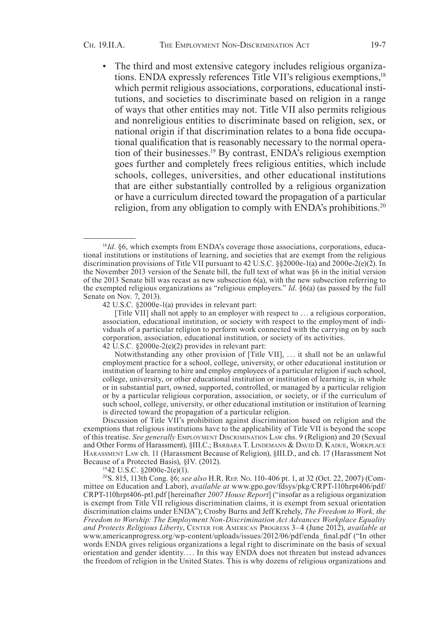The third and most extensive category includes religious organizations. ENDA expressly references Title VII's religious exemptions,<sup>18</sup> which permit religious associations, corporations, educational institutions, and societies to discriminate based on religion in a range of ways that other entities may not. Title VII also permits religious and nonreligious entities to discriminate based on religion, sex, or national origin if that discrimination relates to a bona fide occupational qualification that is reasonably necessary to the normal operation of their businesses.19 By contrast, ENDA's religious exemption goes further and completely frees religious entities, which include schools, colleges, universities, and other educational institutions that are either substantially controlled by a religious organization or have a curriculum directed toward the propagation of a particular religion, from any obligation to comply with ENDA's prohibitions.<sup>20</sup>

42 U.S.C. §2000e-1(a) provides in relevant part:

[Title VII] shall not apply to an employer with respect to ... a religious corporation, association, educational institution, or society with respect to the employment of individuals of a particular religion to perform work connected with the carrying on by such corporation, association, educational institution, or society of its activities.

Notwithstanding any other provision of [Title VII], ... it shall not be an unlawful employment practice for a school, college, university, or other educational institution or institution of learning to hire and employ employees of a particular religion if such school, college, university, or other educational institution or institution of learning is, in whole or in substantial part, owned, supported, controlled, or managed by a particular religion or by a particular religious corporation, association, or society, or if the curriculum of such school, college, university, or other educational institution or institution of learning is directed toward the propagation of a particular religion.

Discussion of Title VII's prohibition against discrimination based on religion and the exemptions that religious institutions have to the applicability of Title VII is beyond the scope of this treatise. *See generally* Employment Discrimination Law chs. 9 (Religion) and 20 (Sexual and Other Forms of Harassment), §III.C.; Barbara T. Lindemann & David D. Kadue, Workplace Harassment Law ch. 11 (Harassment Because of Religion), §III.D., and ch. 17 (Harassment Not Because of a Protected Basis), §IV. (2012).

1942 U.S.C. §2000e-2(e)(1).

20S. 815, 113th Cong. §6; *see also* H.R. Rep. No. 110-406 pt. 1, at 32 (Oct. 22, 2007) (Committee on Education and Labor), *available at* www.gpo.gov/fdsys/pkg/CRPT-110hrpt406/pdf/ CRPT-110hrpt406-pt1.pdf [hereinafter *2007 House Report*] ("insofar as a religious organization is exempt from Title VII religious discrimination claims, it is exempt from sexual orientation discrimination claims under ENDA"); Crosby Burns and Jeff Krehely, *The Freedom to Work, the Freedom to Worship: The Employment Non-Discrimination Act Advances Workplace Equality*  and Protects Religious Liberty, CENTER FOR AMERICAN PROGRESS 3-4 (June 2012), *available at* www.americanprogress.org/wp-content/uploads/issues/2012/06/pdf/enda\_final.pdf ("In other words ENDA gives religious organizations a legal right to discriminate on the basis of sexual orientation and gender identity. . . . In this way ENDA does not threaten but instead advances the freedom of religion in the United States. This is why dozens of religious organizations and

<sup>18</sup>*Id*. §6, which exempts from ENDA's coverage those associations, corporations, educational institutions or institutions of learning, and societies that are exempt from the religious discrimination provisions of Title VII pursuant to 42 U.S.C. §§2000e-1(a) and 2000e-2(e)(2). In the November 2013 version of the Senate bill, the full text of what was §6 in the initial version of the 2013 Senate bill was recast as new subsection 6(a), with the new subsection referring to the exempted religious organizations as "religious employers." *Id*. §6(a) (as passed by the full Senate on Nov. 7, 2013).

<sup>42</sup> U.S.C. §2000e-2(e)(2) provides in relevant part: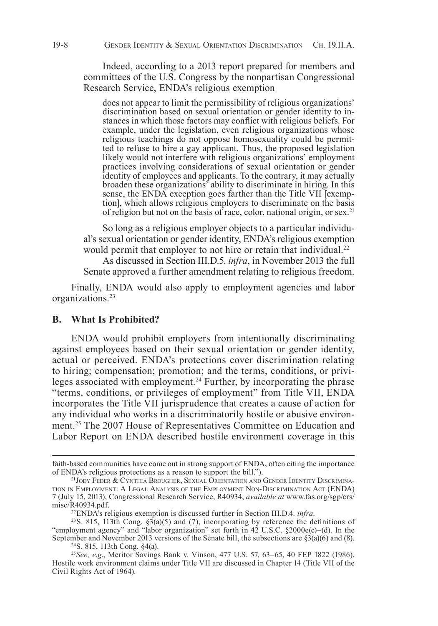Indeed, according to a 2013 report prepared for members and committees of the U.S. Congress by the nonpartisan Congressional Research Service, ENDA's religious exemption

does not appear to limit the permissibility of religious organizations' discrimination based on sexual orientation or gender identity to instances in which those factors may conflict with religious beliefs. For example, under the legislation, even religious organizations whose religious teachings do not oppose homosexuality could be permitted to refuse to hire a gay applicant. Thus, the proposed legislation likely would not interfere with religious organizations' employment practices involving considerations of sexual orientation or gender identity of employees and applicants. To the contrary, it may actually broaden these organizations' ability to discriminate in hiring. In this tion], which allows religious employers to discriminate on the basis of religion but not on the basis of race, color, national origin, or sex.21

So long as a religious employer objects to a particular individual's sexual orientation or gender identity, ENDA's religious exemption would permit that employer to not hire or retain that individual.<sup>22</sup>

As discussed in Section III.D.5. *infra*, in November 2013 the full Senate approved a further amendment relating to religious freedom.

Finally, ENDA would also apply to employment agencies and labor organizations.23

#### **B. What Is Prohibited?**

ENDA would prohibit employers from intentionally discriminating against employees based on their sexual orientation or gender identity, actual or perceived. ENDA's protections cover discrimination relating to hiring; compensation; promotion; and the terms, conditions, or privileges associated with employment.<sup>24</sup> Further, by incorporating the phrase "terms, conditions, or privileges of employment" from Title VII, ENDA incorporates the Title VII jurisprudence that creates a cause of action for any individual who works in a discriminatorily hostile or abusive environment.25 The 2007 House of Representatives Committee on Education and Labor Report on ENDA described hostile environment coverage in this

faith-based communities have come out in strong support of ENDA, often citing the importance of ENDA's religious protections as a reason to support the bill.").

 $^{21}$ Jody Feder & Cynthia Brougher, Sexual Orientation and Gender Identity Discrimination in Employment: A Legal Analysis of the Employment Non-Discrimination Act (ENDA) 7 (July 15, 2013), Congressional Research Service, R40934, *available at* www.fas.org/sgp/crs/ misc/R40934.pdf.

<sup>22</sup>ENDA's religious exemption is discussed further in Section III.D.4. *infra*.

<sup>&</sup>lt;sup>23</sup>S. 815, 113th Cong.  $\S3(a)(5)$  and (7), incorporating by reference the definitions of "employment agency" and "labor organization" set forth in 42 U.S.C. §2000e(c)–(d). In the September and November 2013 versions of the Senate bill, the subsections are §3(a)(6) and (8).

<sup>24</sup>S. 815, 113th Cong. §4(a).

<sup>25</sup>*See, e.g*., Meritor Savings Bank v. Vinson, 477 U.S. 57, 63–65, 40 FEP 1822 (1986). Hostile work environment claims under Title VII are discussed in Chapter 14 (Title VII of the Civil Rights Act of 1964).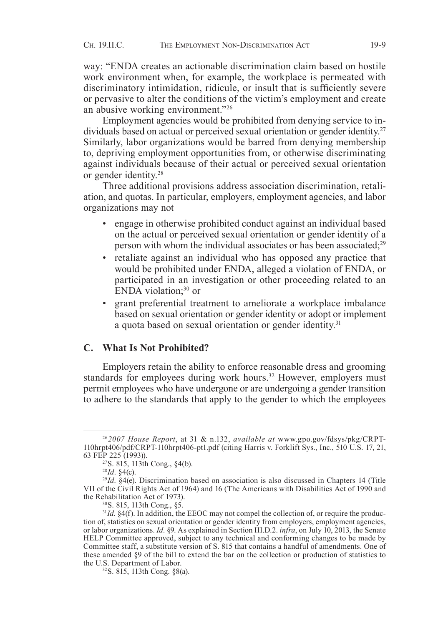way: "ENDA creates an actionable discrimination claim based on hostile work environment when, for example, the workplace is permeated with discriminatory intimidation, ridicule, or insult that is sufficiently severe or pervasive to alter the conditions of the victim's employment and create an abusive working environment."26

Employment agencies would be prohibited from denying service to individuals based on actual or perceived sexual orientation or gender identity.27 Similarly, labor organizations would be barred from denying membership to, depriving employment opportunities from, or otherwise discriminating against individuals because of their actual or perceived sexual orientation or gender identity.28

Three additional provisions address association discrimination, retaliation, and quotas. In particular, employers, employment agencies, and labor organizations may not

- engage in otherwise prohibited conduct against an individual based on the actual or perceived sexual orientation or gender identity of a person with whom the individual associates or has been associated;<sup>29</sup>
- retaliate against an individual who has opposed any practice that would be prohibited under ENDA, alleged a violation of ENDA, or participated in an investigation or other proceeding related to an ENDA violation;30 or
- grant preferential treatment to ameliorate a workplace imbalance based on sexual orientation or gender identity or adopt or implement a quota based on sexual orientation or gender identity.<sup>31</sup>

### **C. What Is Not Prohibited?**

Employers retain the ability to enforce reasonable dress and grooming standards for employees during work hours.<sup>32</sup> However, employers must permit employees who have undergone or are undergoing a gender transition to adhere to the standards that apply to the gender to which the employees

<sup>26</sup> *2007 House Report*, at 31 & n.132, *available at* www.gpo.gov/fdsys/pkg/CRPT-110hrpt406/pdf/CRPT-110hrpt406-pt1.pdf (citing Harris v. Forklift Sys., Inc., 510 U.S. 17, 21, 63 FEP 225 (1993)).

<sup>27</sup>S. 815, 113th Cong., §4(b).

<sup>28</sup>*Id*. §4(c).

<sup>29</sup>*Id*. §4(e). Discrimination based on association is also discussed in Chapters 14 (Title VII of the Civil Rights Act of 1964) and 16 (The Americans with Disabilities Act of 1990 and the Rehabilitation Act of 1973).

<sup>30</sup>S. 815, 113th Cong., §5.

<sup>&</sup>lt;sup>31</sup>*Id.* §4(f). In addition, the EEOC may not compel the collection of, or require the production of, statistics on sexual orientation or gender identity from employers, employment agencies, or labor organizations. *Id*. §9. As explained in Section III.D.2. *infra*, on July 10, 2013, the Senate HELP Committee approved, subject to any technical and conforming changes to be made by Committee staff, a substitute version of S. 815 that contains a handful of amendments. One of these amended §9 of the bill to extend the bar on the collection or production of statistics to the U.S. Department of Labor.

<sup>32</sup>S. 815, 113th Cong. §8(a).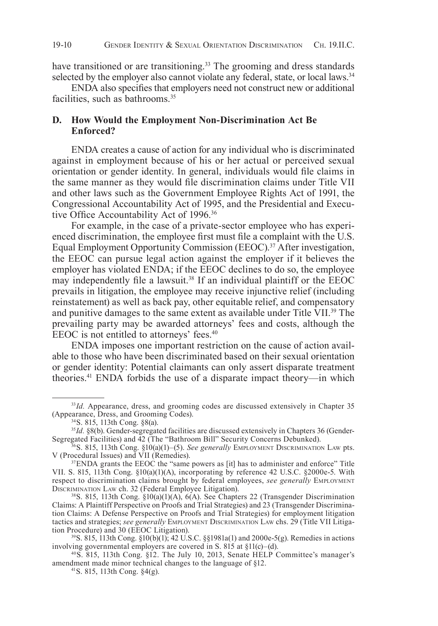have transitioned or are transitioning.<sup>33</sup> The grooming and dress standards selected by the employer also cannot violate any federal, state, or local laws.<sup>34</sup>

ENDA also specifies that employers need not construct new or additional facilities, such as bathrooms.<sup>35</sup>

## **D. How Would the Employment Non-Discrimination Act Be Enforced?**

ENDA creates a cause of action for any individual who is discriminated against in employment because of his or her actual or perceived sexual orientation or gender identity. In general, individuals would file claims in the same manner as they would file discrimination claims under Title VII and other laws such as the Government Employee Rights Act of 1991, the Congressional Accountability Act of 1995, and the Presidential and Executive Office Accountability Act of 1996.<sup>36</sup>

For example, in the case of a private-sector employee who has experienced discrimination, the employee first must file a complaint with the U.S. Equal Employment Opportunity Commission (EEOC).<sup>37</sup> After investigation, the EEOC can pursue legal action against the employer if it believes the employer has violated ENDA; if the EEOC declines to do so, the employee may independently file a lawsuit.38 If an individual plaintiff or the EEOC prevails in litigation, the employee may receive injunctive relief (including reinstatement) as well as back pay, other equitable relief, and compensatory and punitive damages to the same extent as available under Title VII.39 The prevailing party may be awarded attorneys' fees and costs, although the EEOC is not entitled to attorneys' fees.<sup>40</sup>

ENDA imposes one important restriction on the cause of action available to those who have been discriminated based on their sexual orientation or gender identity: Potential claimants can only assert disparate treatment theories.41 ENDA forbids the use of a disparate impact theory—in which

<sup>33</sup>*Id.* Appearance, dress, and grooming codes are discussed extensively in Chapter 35 (Appearance, Dress, and Grooming Codes).

<sup>34</sup>S. 815, 113th Cong. §8(a).

<sup>&</sup>lt;sup>35</sup>Id. §8(b). Gender-segregated facilities are discussed extensively in Chapters 36 (Gender-Segregated Facilities) and 42 (The "Bathroom Bill" Security Concerns Debunked).

<sup>36</sup>S. 815, 113th Cong. §10(a)(1)–(5). *See generally* Employment Discrimination Law pts. V (Procedural Issues) and VII (Remedies).

<sup>&</sup>lt;sup>37</sup>ENDA grants the EEOC the "same powers as [it] has to administer and enforce" Title VII. S. 815, 113th Cong. §10(a)(1)(A), incorporating by reference 42 U.S.C. §2000e-5. With respect to discrimination claims brought by federal employees, *see generally* Employment Discrimination Law ch. 32 (Federal Employee Litigation).

 $38$ S. 815, 113th Cong.  $\S10(a)(1)(A)$ , 6(A). See Chapters 22 (Transgender Discrimination Claims: A Plaintiff Perspective on Proofs and Trial Strategies) and 23 (Transgender Discrimination Claims: A Defense Perspective on Proofs and Trial Strategies) for employment litigation tactics and strategies; *see generally* EMPLOYMENT DISCRIMINATION LAW chs. 29 (Title VII Litigation Procedure) and 30 (EEOC Litigation).

<sup>39</sup>S. 815, 113th Cong. §10(b)(1); 42 U.S.C. §§1981a(1) and 2000e-5(g). Remedies in actions involving governmental employers are covered in S. 815 at §11(c)–(d).

<sup>40</sup>S. 815, 113th Cong. §12. The July 10, 2013, Senate HELP Committee's manager's amendment made minor technical changes to the language of §12.

<sup>41</sup>S. 815, 113th Cong. §4(g).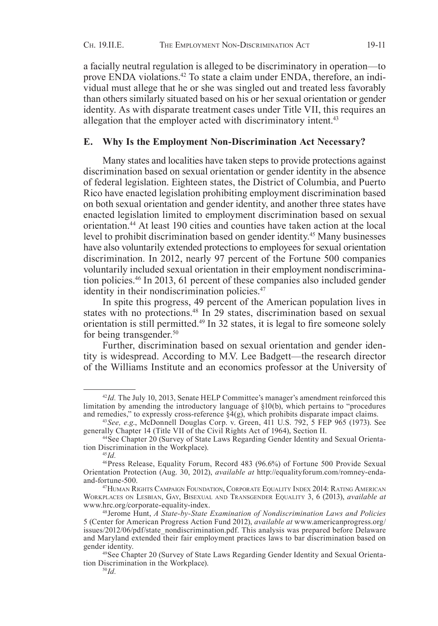a facially neutral regulation is alleged to be discriminatory in operation—to prove ENDA violations.42 To state a claim under ENDA, therefore, an individual must allege that he or she was singled out and treated less favorably than others similarly situated based on his or her sexual orientation or gender identity. As with disparate treatment cases under Title VII, this requires an allegation that the employer acted with discriminatory intent.<sup>43</sup>

### **E. Why Is the Employment Non-Discrimination Act Necessary?**

Many states and localities have taken steps to provide protections against discrimination based on sexual orientation or gender identity in the absence of federal legislation. Eighteen states, the District of Columbia, and Puerto Rico have enacted legislation prohibiting employment discrimination based on both sexual orientation and gender identity, and another three states have enacted legislation limited to employment discrimination based on sexual orientation.44 At least 190 cities and counties have taken action at the local level to prohibit discrimination based on gender identity.45 Many businesses have also voluntarily extended protections to employees for sexual orientation discrimination. In 2012, nearly 97 percent of the Fortune 500 companies voluntarily included sexual orientation in their employment nondiscrimination policies.46 In 2013, 61 percent of these companies also included gender identity in their nondiscrimination policies.<sup>47</sup>

In spite this progress, 49 percent of the American population lives in states with no protections.<sup>48</sup> In 29 states, discrimination based on sexual orientation is still permitted.49 In 32 states, it is legal to fire someone solely for being transgender.<sup>50</sup>

Further, discrimination based on sexual orientation and gender identity is widespread. According to M.V. Lee Badgett—the research director of the Williams Institute and an economics professor at the University of

<sup>42</sup>*Id.* The July 10, 2013, Senate HELP Committee's manager's amendment reinforced this limitation by amending the introductory language of §10(b), which pertains to "procedures and remedies," to expressly cross-reference  $\frac{\sqrt{3}}{2}$ , which prohibits disparate impact claims.

<sup>43</sup>*See, e.g*., McDonnell Douglas Corp. v. Green, 411 U.S. 792, 5 FEP 965 (1973). See generally Chapter 14 (Title VII of the Civil Rights Act of 1964), Section II.

<sup>&</sup>lt;sup>44</sup>See Chapter 20 (Survey of State Laws Regarding Gender Identity and Sexual Orientation Discrimination in the Workplace).

<sup>45</sup>*Id.*

<sup>46</sup>Press Release, Equality Forum, Record 483 (96.6%) of Fortune 500 Provide Sexual Orientation Protection (Aug. 30, 2012), *available at* http://equalityforum.com/romney-endaand-fortune-500.

<sup>47</sup>Human Rights Campaign Foundation, Corporate Equality Index 2014: Rating American Workplaces on Lesbian, Gay, Bisexual and Transgender Equality 3, 6 (2013), *available at* www.hrc.org/corporate-equality-index.

<sup>48</sup>Jerome Hunt, *A State-by-State Examination of Nondiscrimination Laws and Policies* 5 (Center for American Progress Action Fund 2012), *available at* www.americanprogress.org/ issues/2012/06/pdf/state\_nondiscrimination.pdf. This analysis was prepared before Delaware and Maryland extended their fair employment practices laws to bar discrimination based on gender identity.

<sup>49</sup>See Chapter 20 (Survey of State Laws Regarding Gender Identity and Sexual Orientation Discrimination in the Workplace).

<sup>50</sup>*Id.*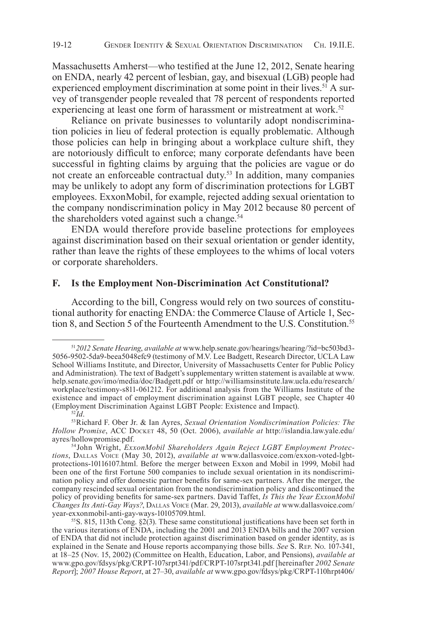Massachusetts Amherst—who testified at the June 12, 2012, Senate hearing on ENDA, nearly 42 percent of lesbian, gay, and bisexual (LGB) people had experienced employment discrimination at some point in their lives.<sup>51</sup> A survey of transgender people revealed that 78 percent of respondents reported experiencing at least one form of harassment or mistreatment at work.<sup>52</sup>

Reliance on private businesses to voluntarily adopt nondiscrimination policies in lieu of federal protection is equally problematic. Although those policies can help in bringing about a workplace culture shift, they are notoriously difficult to enforce; many corporate defendants have been successful in fighting claims by arguing that the policies are vague or do not create an enforceable contractual duty.53 In addition, many companies may be unlikely to adopt any form of discrimination protections for LGBT employees. ExxonMobil, for example, rejected adding sexual orientation to the company nondiscrimination policy in May 2012 because 80 percent of the shareholders voted against such a change. $54$ 

ENDA would therefore provide baseline protections for employees against discrimination based on their sexual orientation or gender identity, rather than leave the rights of these employees to the whims of local voters or corporate shareholders.

### **F. Is the Employment Non-Discrimination Act Constitutional?**

According to the bill, Congress would rely on two sources of constitutional authority for enacting ENDA: the Commerce Clause of Article 1, Section 8, and Section 5 of the Fourteenth Amendment to the U.S. Constitution.<sup>55</sup>

<sup>51</sup>*2012 Senate Hearing*, *available at* www.help.senate.gov/hearings/hearing/?id=bc503bd3- 5056-9502-5da9-beea5048efc9 (testimony of M.V. Lee Badgett, Research Director, UCLA Law School Williams Institute, and Director, University of Massachusetts Center for Public Policy and Administration). The text of Badgett's supplementary written statement is available at www. help.senate.gov/imo/media/doc/Badgett.pdf or http://williamsinstitute.law.ucla.edu/research/ workplace/testimony-s811-061212. For additional analysis from the Williams Institute of the existence and impact of employment discrimination against LGBT people, see Chapter 40 (Employment Discrimination Against LGBT People: Existence and Impact).

<sup>52</sup>*Id*.

<sup>53</sup>Richard F. Ober Jr. & Ian Ayres, *Sexual Orientation Nondiscrimination Policies: The*  Hollow Promise, ACC DOCKET 48, 50 (Oct. 2006), *available at* http://islandia.law.yale.edu/ ayres/hollowpromise.pdf.

<sup>54</sup> John Wright, *ExxonMobil Shareholders Again Reject LGBT Employment Protections*, Dallas Voice (May 30, 2012), *available at* www.dallasvoice.com/exxon-voted-lgbtprotections-10116107.html. Before the merger between Exxon and Mobil in 1999, Mobil had been one of the first Fortune 500 companies to include sexual orientation in its nondiscrimination policy and offer domestic partner benefits for same-sex partners. After the merger, the company rescinded sexual orientation from the nondiscrimination policy and discontinued the policy of providing benefits for same-sex partners. David Taffet, *Is This the Year ExxonMobil Changes Its Anti-Gay Ways?*, Dallas Voice (Mar. 29, 2013), *available at* www.dallasvoice.com/ year-exxonmobil-anti-gay-ways-10105709.html.

 $55$ S. 815, 113th Cong.  $\S2(3)$ . These same constitutional justifications have been set forth in the various iterations of ENDA, including the 2001 and 2013 ENDA bills and the 2007 version of ENDA that did not include protection against discrimination based on gender identity, as is explained in the Senate and House reports accompanying those bills. *See* S. Rep. No. 107-341, at 18–25 (Nov. 15, 2002) (Committee on Health, Education, Labor, and Pensions), *available at* www.gpo.gov/fdsys/pkg/CRPT-107srpt341/pdf/CRPT-107srpt341.pdf [hereinafter *2002 Senate Report*]; *2007 House Report*, at 27–30, *available at* www.gpo.gov/fdsys/pkg/CRPT-110hrpt406/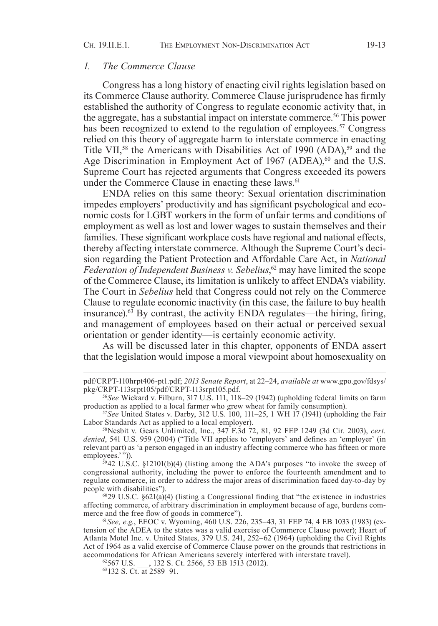### *1. The Commerce Clause*

Congress has a long history of enacting civil rights legislation based on its Commerce Clause authority. Commerce Clause jurisprudence has firmly established the authority of Congress to regulate economic activity that, in the aggregate, has a substantial impact on interstate commerce.<sup>56</sup> This power has been recognized to extend to the regulation of employees.<sup>57</sup> Congress relied on this theory of aggregate harm to interstate commerce in enacting Title VII,<sup>58</sup> the Americans with Disabilities Act of 1990 (ADA),<sup>59</sup> and the Age Discrimination in Employment Act of 1967 (ADEA), $60$  and the U.S. Supreme Court has rejected arguments that Congress exceeded its powers under the Commerce Clause in enacting these laws.<sup>61</sup>

ENDA relies on this same theory: Sexual orientation discrimination impedes employers' productivity and has significant psychological and economic costs for LGBT workers in the form of unfair terms and conditions of employment as well as lost and lower wages to sustain themselves and their families. These significant workplace costs have regional and national effects, thereby affecting interstate commerce. Although the Supreme Court's decision regarding the Patient Protection and Affordable Care Act, in *National Federation of Independent Business v. Sebelius*, <sup>62</sup> may have limited the scope of the Commerce Clause, its limitation is unlikely to affect ENDA's viability. The Court in *Sebelius* held that Congress could not rely on the Commerce Clause to regulate economic inactivity (in this case, the failure to buy health insurance).63 By contrast, the activity ENDA regulates—the hiring, firing, and management of employees based on their actual or perceived sexual orientation or gender identity—is certainly economic activity.

As will be discussed later in this chapter, opponents of ENDA assert that the legislation would impose a moral viewpoint about homosexuality on

5942 U.S.C. §12101(b)(4) (listing among the ADA's purposes "to invoke the sweep of congressional authority, including the power to enforce the fourteenth amendment and to regulate commerce, in order to address the major areas of discrimination faced day-to-day by people with disabilities").

 $6029$  U.S.C.  $§621(a)(4)$  (listing a Congressional finding that "the existence in industries affecting commerce, of arbitrary discrimination in employment because of age, burdens commerce and the free flow of goods in commerce").

61*See, e.g.*, EEOC v. Wyoming, 460 U.S. 226, 235–43, 31 FEP 74, 4 EB 1033 (1983) (extension of the ADEA to the states was a valid exercise of Commerce Clause power); Heart of Atlanta Motel Inc. v. United States, 379 U.S. 241, 252–62 (1964) (upholding the Civil Rights Act of 1964 as a valid exercise of Commerce Clause power on the grounds that restrictions in accommodations for African Americans severely interfered with interstate travel).

 $^{62}$ 567 U.S. \_\_\_, 132 S. Ct. 2566, 53 EB 1513 (2012).

63132 S. Ct. at 2589–91.

pdf/CRPT-110hrpt406-pt1.pdf; *2013 Senate Report*, at 22–24, *available at* www.gpo.gov/fdsys/ pkg/CRPT-113srpt105/pdf/CRPT-113srpt105.pdf.

<sup>56</sup>*See* Wickard v. Filburn, 317 U.S. 111, 118–29 (1942) (upholding federal limits on farm production as applied to a local farmer who grew wheat for family consumption).

<sup>57</sup>*See* United States v. Darby, 312 U.S. 100, 111–25, 1 WH 17 (1941) (upholding the Fair Labor Standards Act as applied to a local employer).

<sup>58</sup>Nesbit v. Gears Unlimited, Inc., 347 F.3d 72, 81, 92 FEP 1249 (3d Cir. 2003), *cert. denied*, 541 U.S. 959 (2004) ("Title VII applies to 'employers' and defines an 'employer' (in relevant part) as 'a person engaged in an industry affecting commerce who has fifteen or more employees.'")).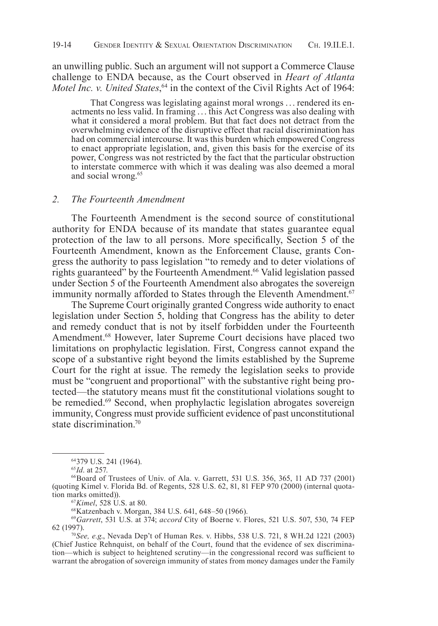an unwilling public. Such an argument will not support a Commerce Clause challenge to ENDA because, as the Court observed in *Heart of Atlanta Motel Inc. v. United States*,<sup>64</sup> in the context of the Civil Rights Act of 1964:

That Congress was legislating against moral wrongs . . . rendered its en- actments no less valid. In framing . .. this Act Congress was also dealing with what it considered a moral problem. But that fact does not detract from the overwhelming evidence of the disruptive effect that racial discrimination has had on commercial intercourse. It was this burden which empowered Congress to enact appropriate legislation, and, given this basis for the exercise of its power, Congress was not restricted by the fact that the particular obstruction to interstate commerce with which it was dealing was also deemed a moral and social wrong.65

#### *2. The Fourteenth Amendment*

The Fourteenth Amendment is the second source of constitutional authority for ENDA because of its mandate that states guarantee equal protection of the law to all persons. More specifically, Section 5 of the Fourteenth Amendment, known as the Enforcement Clause, grants Congress the authority to pass legislation "to remedy and to deter violations of rights guaranteed" by the Fourteenth Amendment.<sup>66</sup> Valid legislation passed under Section 5 of the Fourteenth Amendment also abrogates the sovereign immunity normally afforded to States through the Eleventh Amendment.<sup>67</sup>

The Supreme Court originally granted Congress wide authority to enact legislation under Section 5, holding that Congress has the ability to deter and remedy conduct that is not by itself forbidden under the Fourteenth Amendment.<sup>68</sup> However, later Supreme Court decisions have placed two limitations on prophylactic legislation. First, Congress cannot expand the scope of a substantive right beyond the limits established by the Supreme Court for the right at issue. The remedy the legislation seeks to provide must be "congruent and proportional" with the substantive right being protected—the statutory means must fit the constitutional violations sought to be remedied.<sup>69</sup> Second, when prophylactic legislation abrogates sovereign immunity, Congress must provide sufficient evidence of past unconstitutional state discrimination.70

<sup>67</sup>*Kimel*, 528 U.S. at 80.

68Katzenbach v. Morgan, 384 U.S. 641, 648–50 (1966).

<sup>64379</sup> U.S. 241 (1964).

<sup>65</sup>*Id*. at 257.

<sup>66</sup>Board of Trustees of Univ. of Ala. v. Garrett, 531 U.S. 356, 365, 11 AD 737 (2001) (quoting Kimel v. Florida Bd. of Regents, 528 U.S. 62, 81, 81 FEP 970 (2000) (internal quotation marks omitted)).

<sup>69</sup>*Garrett*, 531 U.S. at 374; *accord* City of Boerne v. Flores, 521 U.S. 507, 530, 74 FEP 62 (1997).

<sup>70</sup>*See, e.g*., Nevada Dep't of Human Res. v. Hibbs, 538 U.S. 721, 8 WH.2d 1221 (2003) (Chief Justice Rehnquist, on behalf of the Court, found that the evidence of sex discrimination—which is subject to heightened scrutiny—in the congressional record was sufficient to warrant the abrogation of sovereign immunity of states from money damages under the Family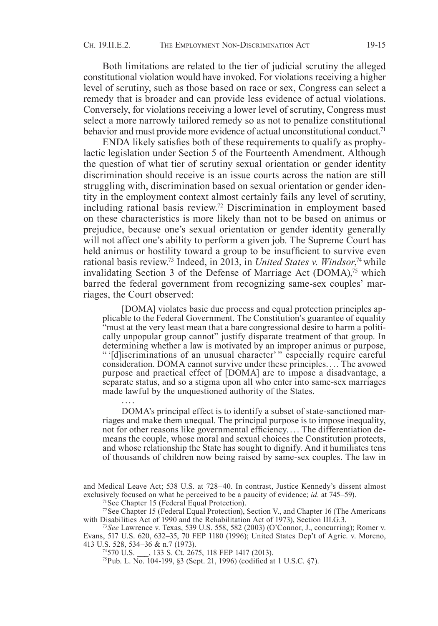Both limitations are related to the tier of judicial scrutiny the alleged constitutional violation would have invoked. For violations receiving a higher level of scrutiny, such as those based on race or sex, Congress can select a remedy that is broader and can provide less evidence of actual violations. Conversely, for violations receiving a lower level of scrutiny, Congress must select a more narrowly tailored remedy so as not to penalize constitutional behavior and must provide more evidence of actual unconstitutional conduct.<sup>71</sup>

ENDA likely satisfies both of these requirements to qualify as prophylactic legislation under Section 5 of the Fourteenth Amendment. Although the question of what tier of scrutiny sexual orientation or gender identity discrimination should receive is an issue courts across the nation are still struggling with, discrimination based on sexual orientation or gender identity in the employment context almost certainly fails any level of scrutiny, including rational basis review.72 Discrimination in employment based on these characteristics is more likely than not to be based on animus or prejudice, because one's sexual orientation or gender identity generally will not affect one's ability to perform a given job. The Supreme Court has held animus or hostility toward a group to be insufficient to survive even rational basis review.73 Indeed, in 2013, in *United States v. Windsor*, 74 while invalidating Section 3 of the Defense of Marriage Act  $(DOMA)$ <sup>75</sup> which barred the federal government from recognizing same-sex couples' marriages, the Court observed:

[DOMA] violates basic due process and equal protection principles ap- plicable to the Federal Government. The Constitution's guarantee of equality "must at the very least mean that a bare congressional desire to harm a politi- cally unpopular group cannot" justify disparate treatment of that group. In determining whether a law is motivated by an improper animus or purpose, " '[d]iscriminations of an unusual character' " especially require careful consideration. DOMA cannot survive under these principles. . . . The avowed purpose and practical effect of [DOMA] are to impose a disadvantage, a separate status, and so a stigma upon all who enter into same-sex marriages made lawful by the unquestioned authority of the States.

DOMA's principal effect is to identify a subset of state-sanctioned marriages and make them unequal. The principal purpose is to impose inequality, not for other reasons like governmental efficiency.... The differentiation demeans the couple, whose moral and sexual choices the Constitution protects, and whose relationship the State has sought to dignify. And it humiliates tens of thousands of children now being raised by same-sex couples. The law in

and Medical Leave Act; 538 U.S. at 728–40. In contrast, Justice Kennedy's dissent almost exclusively focused on what he perceived to be a paucity of evidence; *id*. at 745–59).

<sup>71</sup>See Chapter 15 (Federal Equal Protection).

<sup>72</sup>See Chapter 15 (Federal Equal Protection), Section V., and Chapter 16 (The Americans with Disabilities Act of 1990 and the Rehabilitation Act of 1973), Section III.G.3.

<sup>73</sup>*See* Lawrence v. Texas, 539 U.S. 558, 582 (2003) (O'Connor, J., concurring); Romer v. Evans, 517 U.S. 620, 632–35, 70 FEP 1180 (1996); United States Dep't of Agric. v. Moreno, 413 U.S. 528, 534–36 & n.7 (1973).

<sup>74570</sup> U.S. \_\_\_, 133 S. Ct. 2675, 118 FEP 1417 (2013).

<sup>75</sup>Pub. L. No. 104-199, §3 (Sept. 21, 1996) (codified at 1 U.S.C. §7).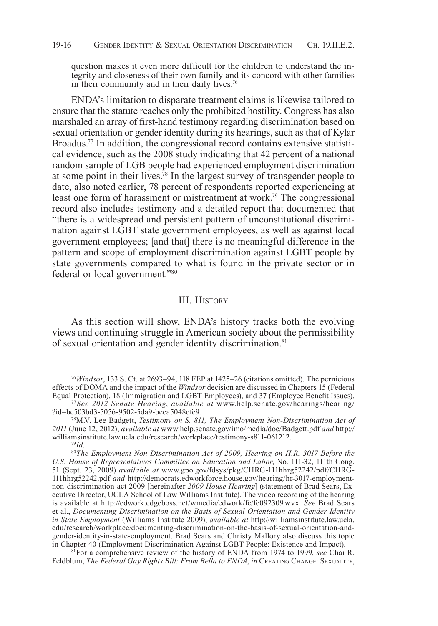question makes it even more difficult for the children to understand the integrity and closeness of their own family and its concord with other families in their community and in their daily lives.<sup>76</sup>

ENDA's limitation to disparate treatment claims is likewise tailored to ensure that the statute reaches only the prohibited hostility. Congress has also marshaled an array of first-hand testimony regarding discrimination based on sexual orientation or gender identity during its hearings, such as that of Kylar Broadus.<sup>77</sup> In addition, the congressional record contains extensive statistical evidence, such as the 2008 study indicating that 42 percent of a national random sample of LGB people had experienced employment discrimination at some point in their lives.78 In the largest survey of transgender people to date, also noted earlier, 78 percent of respondents reported experiencing at least one form of harassment or mistreatment at work.<sup>79</sup> The congressional record also includes testimony and a detailed report that documented that "there is a widespread and persistent pattern of unconstitutional discrimination against LGBT state government employees, as well as against local government employees; [and that] there is no meaningful difference in the pattern and scope of employment discrimination against LGBT people by state governments compared to what is found in the private sector or in federal or local government."80

### III. History

As this section will show, ENDA's history tracks both the evolving views and continuing struggle in American society about the permissibility of sexual orientation and gender identity discrimination.<sup>81</sup>

<sup>76</sup>*Windsor*, 133 S. Ct. at 2693–94, 118 FEP at 1425–26 (citations omitted). The pernicious effects of DOMA and the impact of the *Windsor* decision are discussed in Chapters 15 (Federal Equal Protection), 18 (Immigration and LGBT Employees), and 37 (Employee Benefit Issues).

<sup>77</sup> *See 2012 Senate Hearing*, *available at* www.help.senate.gov/hearings/hearing/ ?id=bc503bd3-5056-9502-5da9-beea5048efc9.

<sup>78</sup>M.V. Lee Badgett, *Testimony on S. 811, The Employment Non-Discrimination Act of 2011* (June 12, 2012), *available at* www.help.senate.gov/imo/media/doc/Badgett.pdf *and* http:// williamsinstitute.law.ucla.edu/research/workplace/testimony-s811-061212.

<sup>79</sup>*Id*.

<sup>80</sup>*The Employment Non-Discrimination Act of 2009, Hearing on H.R. 3017 Before the U.S. House of Representatives Committee on Education and Labor*, No. 111-32, 111th Cong. 51 (Sept. 23, 2009) *available at* www.gpo.gov/fdsys/pkg/CHRG-111hhrg52242/pdf/CHRG-111hhrg52242.pdf *and* http://democrats.edworkforce.house.gov/hearing/hr-3017-employmentnon-discrimination-act-2009 [hereinafter *2009 House Hearing*] (statement of Brad Sears, Executive Director, UCLA School of Law Williams Institute). The video recording of the hearing is available at http://edwork.edgeboss.net/wmedia/edwork/fc/fc092309.wvx. *See* Brad Sears et al., *Documenting Discrimination on the Basis of Sexual Orientation and Gender Identity in State Employment* (Williams Institute 2009), *available at* http://williamsinstitute.law.ucla. edu/research/workplace/documenting-discrimination-on-the-basis-of-sexual-orientation-andgender-identity-in-state-employment. Brad Sears and Christy Mallory also discuss this topic in Chapter 40 (Employment Discrimination Against LGBT People: Existence and Impact).

<sup>81</sup>For a comprehensive review of the history of ENDA from 1974 to 1999, *see* Chai R. Feldblum, *The Federal Gay Rights Bill: From Bella to ENDA*, *in* Creating Change: Sexuality,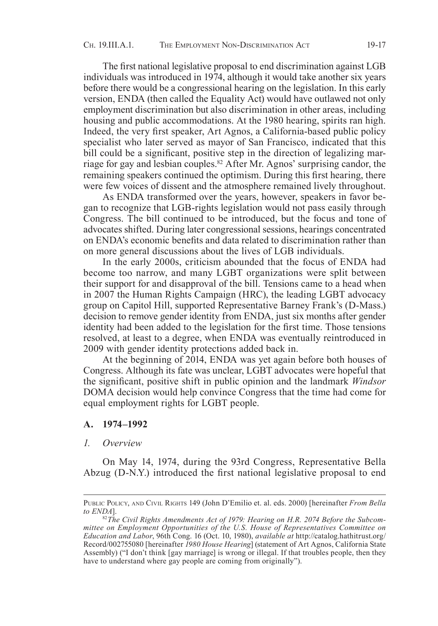The first national legislative proposal to end discrimination against LGB individuals was introduced in 1974, although it would take another six years before there would be a congressional hearing on the legislation. In this early version, ENDA (then called the Equality Act) would have outlawed not only employment discrimination but also discrimination in other areas, including housing and public accommodations. At the 1980 hearing, spirits ran high. Indeed, the very first speaker, Art Agnos, a California-based public policy specialist who later served as mayor of San Francisco, indicated that this bill could be a significant, positive step in the direction of legalizing marriage for gay and lesbian couples.82 After Mr. Agnos' surprising candor, the remaining speakers continued the optimism. During this first hearing, there were few voices of dissent and the atmosphere remained lively throughout.

As ENDA transformed over the years, however, speakers in favor began to recognize that LGB-rights legislation would not pass easily through Congress. The bill continued to be introduced, but the focus and tone of advocates shifted. During later congressional sessions, hearings concentrated on ENDA's economic benefits and data related to discrimination rather than on more general discussions about the lives of LGB individuals.

In the early 2000s, criticism abounded that the focus of ENDA had become too narrow, and many LGBT organizations were split between their support for and disapproval of the bill. Tensions came to a head when in 2007 the Human Rights Campaign (HRC), the leading LGBT advocacy group on Capitol Hill, supported Representative Barney Frank's (D-Mass.) decision to remove gender identity from ENDA, just six months after gender identity had been added to the legislation for the first time. Those tensions resolved, at least to a degree, when ENDA was eventually reintroduced in 2009 with gender identity protections added back in.

At the beginning of 2014, ENDA was yet again before both houses of Congress. Although its fate was unclear, LGBT advocates were hopeful that the significant, positive shift in public opinion and the landmark *Windsor* DOMA decision would help convince Congress that the time had come for equal employment rights for LGBT people.

### **A. 1974–1992**

### *1. Overview*

On May 14, 1974, during the 93rd Congress, Representative Bella Abzug (D-N.Y.) introduced the first national legislative proposal to end

Public Policy, and Civil Rights 149 (John D'Emilio et. al. eds. 2000) [hereinafter *From Bella to ENDA*].

<sup>82</sup>*The Civil Rights Amendments Act of 1979: Hearing on H.R. 2074 Before the Subcommittee on Employment Opportunities of the U.S. House of Representatives Committee on Education and Labor*, 96th Cong. 16 (Oct. 10, 1980), *available at* http://catalog.hathitrust.org/ Record/002755080 [hereinafter *1980 House Hearing*] (statement of Art Agnos, California State Assembly) ("I don't think [gay marriage] is wrong or illegal. If that troubles people, then they have to understand where gay people are coming from originally").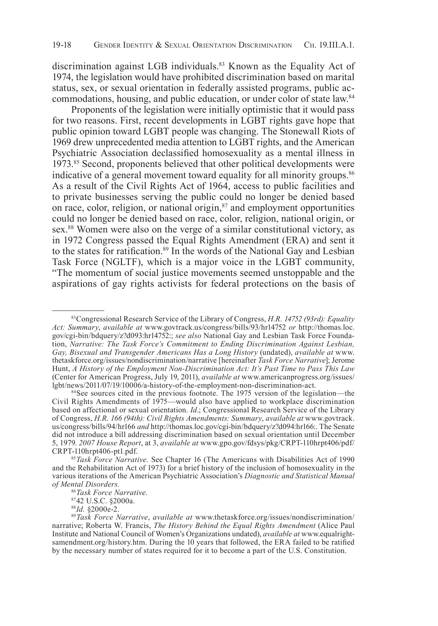discrimination against LGB individuals.83 Known as the Equality Act of 1974, the legislation would have prohibited discrimination based on marital status, sex, or sexual orientation in federally assisted programs, public accommodations, housing, and public education, or under color of state law.84

Proponents of the legislation were initially optimistic that it would pass for two reasons. First, recent developments in LGBT rights gave hope that public opinion toward LGBT people was changing. The Stonewall Riots of 1969 drew unprecedented media attention to LGBT rights, and the American Psychiatric Association declassified homosexuality as a mental illness in 1973.85 Second, proponents believed that other political developments were indicative of a general movement toward equality for all minority groups.<sup>86</sup> As a result of the Civil Rights Act of 1964, access to public facilities and to private businesses serving the public could no longer be denied based on race, color, religion, or national origin,<sup>87</sup> and employment opportunities could no longer be denied based on race, color, religion, national origin, or sex.<sup>88</sup> Women were also on the verge of a similar constitutional victory, as in 1972 Congress passed the Equal Rights Amendment (ERA) and sent it to the states for ratification.<sup>89</sup> In the words of the National Gay and Lesbian Task Force (NGLTF), which is a major voice in the LGBT community, "The momentum of social justice movements seemed unstoppable and the aspirations of gay rights activists for federal protections on the basis of

<sup>83</sup>Congressional Research Service of the Library of Congress, *H.R. 14752 (93rd): Equality Act: Summary*, *available at* www.govtrack.us/congress/bills/93/hr14752 *or* http://thomas.loc. gov/cgi-bin/bdquery/z?d093:hr14752:; *see also* National Gay and Lesbian Task Force Foundation, *Narrative: The Task Force's Commitment to Ending Discrimination Against Lesbian, Gay, Bisexual and Transgender Americans Has a Long History* (undated), *available at* www. thetaskforce.org/issues/nondiscrimination/narrative [hereinafter *Task Force Narrative*]; Jerome Hunt, *A History of the Employment Non-Discrimination Act: It's Past Time to Pass This Law* (Center for American Progress, July 19, 2011), *available at* www.americanprogress.org/issues/ lgbt/news/2011/07/19/10006/a-history-of-the-employment-non-discrimination-act.

<sup>&</sup>lt;sup>84</sup>See sources cited in the previous footnote. The 1975 version of the legislation—the Civil Rights Amendments of 1975—would also have applied to workplace discrimination based on affectional or sexual orientation. *Id*.; Congressional Research Service of the Library of Congress, *H.R. 166 (94th): Civil Rights Amendments: Summary*, *available at* www.govtrack. us/congress/bills/94/hr166 *and* http://thomas.loc.gov/cgi-bin/bdquery/z?d094:hr166:. The Senate did not introduce a bill addressing discrimination based on sexual orientation until December 5, 1979. *2007 House Report*, at 3, *available at* www.gpo.gov/fdsys/pkg/CRPT-110hrpt406/pdf/ CRPT-110hrpt406-pt1.pdf.

<sup>85</sup>*Task Force Narrative.* See Chapter 16 (The Americans with Disabilities Act of 1990 and the Rehabilitation Act of 1973) for a brief history of the inclusion of homosexuality in the various iterations of the American Psychiatric Association's *Diagnostic and Statistical Manual of Mental Disorders.*

<sup>86</sup>*Task Force Narrative*.

<sup>8742</sup> U.S.C. §2000a.

<sup>88</sup>*Id.* §2000e-2.

<sup>89</sup>*Task Force Narrative*, *available at* www.thetaskforce.org/issues/nondiscrimination/ narrative; Roberta W. Francis, *The History Behind the Equal Rights Amendment* (Alice Paul Institute and National Council of Women's Organizations undated), *available at* www.equalrightsamendment.org/history.htm. During the 10 years that followed, the ERA failed to be ratified by the necessary number of states required for it to become a part of the U.S. Constitution.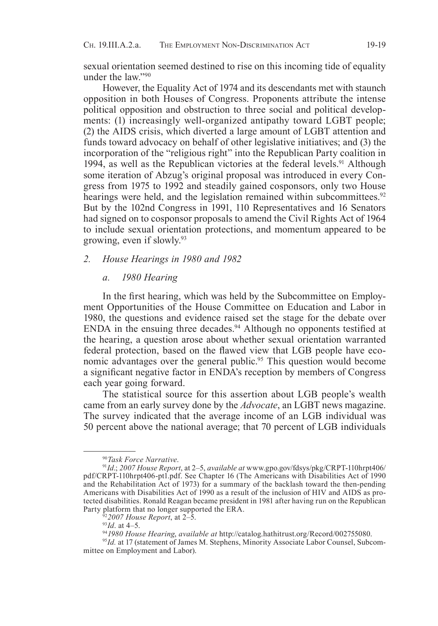sexual orientation seemed destined to rise on this incoming tide of equality under the law"<sup>90</sup>

However, the Equality Act of 1974 and its descendants met with staunch opposition in both Houses of Congress. Proponents attribute the intense political opposition and obstruction to three social and political developments: (1) increasingly well-organized antipathy toward LGBT people; (2) the AIDS crisis, which diverted a large amount of LGBT attention and funds toward advocacy on behalf of other legislative initiatives; and (3) the incorporation of the "religious right" into the Republican Party coalition in 1994, as well as the Republican victories at the federal levels.<sup>91</sup> Although some iteration of Abzug's original proposal was introduced in every Congress from 1975 to 1992 and steadily gained cosponsors, only two House hearings were held, and the legislation remained within subcommittees.<sup>92</sup> But by the 102nd Congress in 1991, 110 Representatives and 16 Senators had signed on to cosponsor proposals to amend the Civil Rights Act of 1964 to include sexual orientation protections, and momentum appeared to be growing, even if slowly. $93$ 

#### *2. House Hearings in 1980 and 1982*

### *a. 1980 Hearing*

In the first hearing, which was held by the Subcommittee on Employment Opportunities of the House Committee on Education and Labor in 1980, the questions and evidence raised set the stage for the debate over ENDA in the ensuing three decades.<sup>94</sup> Although no opponents testified at the hearing, a question arose about whether sexual orientation warranted federal protection, based on the flawed view that LGB people have economic advantages over the general public.<sup>95</sup> This question would become a significant negative factor in ENDA's reception by members of Congress each year going forward.

The statistical source for this assertion about LGB people's wealth came from an early survey done by the *Advocate*, an LGBT news magazine. The survey indicated that the average income of an LGB individual was 50 percent above the national average; that 70 percent of LGB individuals

<sup>90</sup>*Task Force Narrative*.

<sup>91</sup>*Id*.; *2007 House Report*, at 2–5, *available at* www.gpo.gov/fdsys/pkg/CRPT-110hrpt406/ pdf/CRPT-110hrpt406-pt1.pdf. See Chapter 16 (The Americans with Disabilities Act of 1990 and the Rehabilitation Act of 1973) for a summary of the backlash toward the then-pending Americans with Disabilities Act of 1990 as a result of the inclusion of HIV and AIDS as protected disabilities. Ronald Reagan became president in 1981 after having run on the Republican Party platform that no longer supported the ERA.

<sup>92</sup>*2007 House Report*, at 2–5.

<sup>93</sup>*Id*. at 4–5.

<sup>94</sup>*1980 House Hearing*, *available at* http://catalog.hathitrust.org/Record/002755080.

<sup>&</sup>lt;sup>95</sup>Id. at 17 (statement of James M. Stephens, Minority Associate Labor Counsel, Subcommittee on Employment and Labor).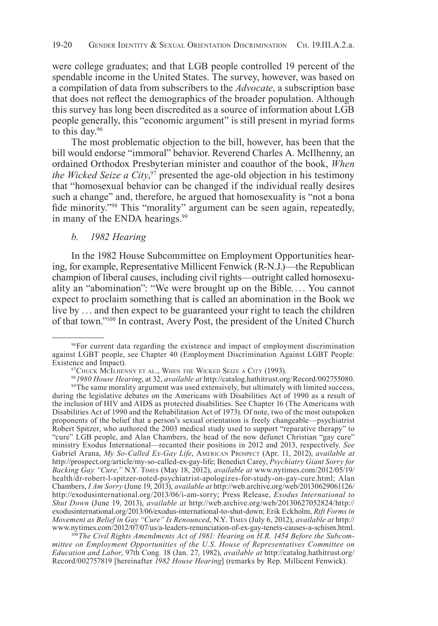were college graduates; and that LGB people controlled 19 percent of the spendable income in the United States. The survey, however, was based on a compilation of data from subscribers to the *Advocate*, a subscription base that does not reflect the demographics of the broader population. Although this survey has long been discredited as a source of information about LGB people generally, this "economic argument" is still present in myriad forms to this day.<sup>96</sup>

The most problematic objection to the bill, however, has been that the bill would endorse "immoral" behavior. Reverend Charles A. McIlhenny, an ordained Orthodox Presbyterian minister and coauthor of the book, *When the Wicked Seize a City*, 97 presented the age-old objection in his testimony that "homosexual behavior can be changed if the individual really desires such a change" and, therefore, he argued that homosexuality is "not a bona fide minority."98 This "morality" argument can be seen again, repeatedly, in many of the ENDA hearings.<sup>99</sup>

## *b. 1982 Hearing*

In the 1982 House Subcommittee on Employment Opportunities hearing, for example, Representative Millicent Fenwick (R-N.J.)—the Republican champion of liberal causes, including civil rights—outright called homosexuality an "abomination": "We were brought up on the Bible.... You cannot expect to proclaim something that is called an abomination in the Book we live by . . . and then expect to be guaranteed your right to teach the children of that town."100 In contrast, Avery Post, the president of the United Church

100*The Civil Rights Amendments Act of 1981: Hearing on H.R. 1454 Before the Subcommittee on Employment Opportunities of the U.S. House of Representatives Committee on Education and Labor*, 97th Cong. 18 (Jan. 27, 1982), *available at* http://catalog.hathitrust.org/ Record/002757819 [hereinafter *1982 House Hearing*] (remarks by Rep. Millicent Fenwick).

<sup>96</sup>For current data regarding the existence and impact of employment discrimination against LGBT people, see Chapter 40 (Employment Discrimination Against LGBT People: Existence and Impact).

 $97$ Chuck McIlhenny et al., When the Wicked Seize a City (1993).

<sup>98</sup>*1980 House Hearing*, at 32, *available at* http://catalog.hathitrust.org/Record/002755080.

<sup>&</sup>lt;sup>99</sup>The same morality argument was used extensively, but ultimately with limited success, during the legislative debates on the Americans with Disabilities Act of 1990 as a result of the inclusion of HIV and AIDS as protected disabilities. See Chapter 16 (The Americans with Disabilities Act of 1990 and the Rehabilitation Act of 1973). Of note, two of the most outspoken proponents of the belief that a person's sexual orientation is freely changeable—psychiatrist Robert Spitzer, who authored the 2003 medical study used to support "reparative therapy" to "cure" LGB people, and Alan Chambers, the head of the now defunct Christian "gay cure" ministry Exodus International—recanted their positions in 2012 and 2013, respectively. *See* Gabriel Arana, *My So-Called Ex-Gay Life*, American Prospect (Apr. 11, 2012), *available at* http://prospect.org/article/my-so-called-ex-gay-life; Benedict Carey, *Psychiatry Giant Sorry for Backing Gay "Cure,"* N.Y. Times (May 18, 2012), *available at* www.nytimes.com/2012/05/19/ health/dr-robert-l-spitzer-noted-psychiatrist-apologizes-for-study-on-gay-cure.html; Alan Chambers, *I Am Sorry* (June 19, 2013), *available at* http://web.archive.org/web/20130629061126/ http://exodusinternational.org/2013/06/i-am-sorry; Press Release, *Exodus International to Shut Down* (June 19, 2013), *available at* http://web.archive.org/web/20130627052824/http:// exodusinternational.org/2013/06/exodus-international-to-shut-down; Erik Eckholm, *Rift Forms in Movement as Belief in Gay "Cure" Is Renounced*, N.Y. Times (July 6, 2012), *available at* http:// www.nytimes.com/2012/07/07/us/a-leaders-renunciation-of-ex-gay-tenets-causes-a-schism.html.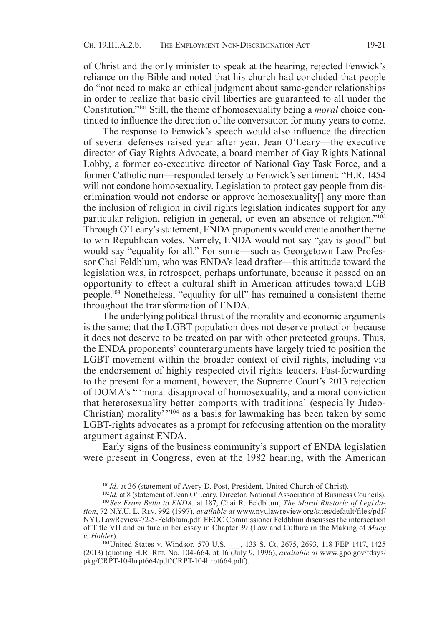of Christ and the only minister to speak at the hearing, rejected Fenwick's reliance on the Bible and noted that his church had concluded that people do "not need to make an ethical judgment about same-gender relationships in order to realize that basic civil liberties are guaranteed to all under the Constitution."101 Still, the theme of homosexuality being a *moral* choice continued to influence the direction of the conversation for many years to come.

The response to Fenwick's speech would also influence the direction of several defenses raised year after year. Jean O'Leary—the executive director of Gay Rights Advocate, a board member of Gay Rights National Lobby, a former co-executive director of National Gay Task Force, and a former Catholic nun—responded tersely to Fenwick's sentiment: "H.R. 1454 will not condone homosexuality. Legislation to protect gay people from discrimination would not endorse or approve homosexuality[] any more than the inclusion of religion in civil rights legislation indicates support for any particular religion, religion in general, or even an absence of religion."102 Through O'Leary's statement, ENDA proponents would create another theme to win Republican votes. Namely, ENDA would not say "gay is good" but would say "equality for all." For some—such as Georgetown Law Professor Chai Feldblum, who was ENDA's lead drafter—this attitude toward the legislation was, in retrospect, perhaps unfortunate, because it passed on an opportunity to effect a cultural shift in American attitudes toward LGB people.103 Nonetheless, "equality for all" has remained a consistent theme throughout the transformation of ENDA.

The underlying political thrust of the morality and economic arguments is the same: that the LGBT population does not deserve protection because it does not deserve to be treated on par with other protected groups. Thus, the ENDA proponents' counterarguments have largely tried to position the LGBT movement within the broader context of civil rights, including via the endorsement of highly respected civil rights leaders. Fast-forwarding to the present for a moment, however, the Supreme Court's 2013 rejection of DOMA's " 'moral disapproval of homosexuality, and a moral conviction that heterosexuality better comports with traditional (especially Judeo-Christian) morality' "104 as a basis for lawmaking has been taken by some LGBT-rights advocates as a prompt for refocusing attention on the morality argument against ENDA.

Early signs of the business community's support of ENDA legislation were present in Congress, even at the 1982 hearing, with the American

<sup>101</sup>*Id*. at 36 (statement of Avery D. Post, President, United Church of Christ).

<sup>102</sup>*Id.* at 8 (statement of Jean O'Leary, Director, National Association of Business Councils).

<sup>103</sup>*See From Bella to ENDA,* at 187; Chai R. Feldblum, *The Moral Rhetoric of Legislation*, 72 N.Y.U. L. Rev. 992 (1997), *available at* www.nyulawreview.org/sites/default/files/pdf/ NYULawReview-72-5-Feldblum.pdf. EEOC Commissioner Feldblum discusses the intersection of Title VII and culture in her essay in Chapter 39 (Law and Culture in the Making of *Macy v. Holder*).

<sup>, 133</sup> S. Ct. 2675, 2693, 118 FEP 1417, 1425 (2013) (quoting H.R. Rep. No. 104-664, at 16 (July 9, 1996), *available at* www.gpo.gov/fdsys/ pkg/CRPT-104hrpt664/pdf/CRPT-104hrpt664.pdf).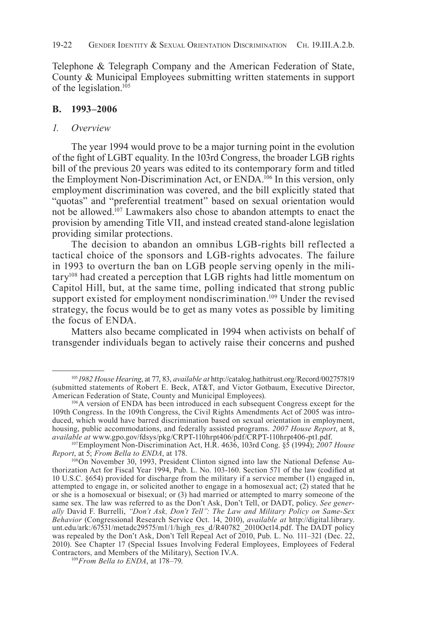Telephone & Telegraph Company and the American Federation of State, County & Municipal Employees submitting written statements in support of the legislation.105

### **B. 1993–2006**

### *1. Overview*

The year 1994 would prove to be a major turning point in the evolution of the fight of LGBT equality. In the 103rd Congress, the broader LGB rights bill of the previous 20 years was edited to its contemporary form and titled the Employment Non-Discrimination Act, or ENDA.106 In this version, only employment discrimination was covered, and the bill explicitly stated that "quotas" and "preferential treatment" based on sexual orientation would not be allowed.107 Lawmakers also chose to abandon attempts to enact the provision by amending Title VII, and instead created stand-alone legislation providing similar protections.

The decision to abandon an omnibus LGB-rights bill reflected a tactical choice of the sponsors and LGB-rights advocates. The failure in 1993 to overturn the ban on LGB people serving openly in the military108 had created a perception that LGB rights had little momentum on Capitol Hill, but, at the same time, polling indicated that strong public support existed for employment nondiscrimination.<sup>109</sup> Under the revised strategy, the focus would be to get as many votes as possible by limiting the focus of ENDA.

Matters also became complicated in 1994 when activists on behalf of transgender individuals began to actively raise their concerns and pushed

<sup>105</sup>*1982 House Hearing*, at 77, 83, *available at* http://catalog.hathitrust.org/Record/002757819 (submitted statements of Robert E. Beck, AT&T, and Victor Gotbaum, Executive Director, American Federation of State, County and Municipal Employees).

<sup>106</sup>A version of ENDA has been introduced in each subsequent Congress except for the 109th Congress. In the 109th Congress, the Civil Rights Amendments Act of 2005 was introduced, which would have barred discrimination based on sexual orientation in employment, housing, public accommodations, and federally assisted programs. *2007 House Report*, at 8, *available at* www.gpo.gov/fdsys/pkg/CRPT-110hrpt406/pdf/CRPT-110hrpt406-pt1.pdf.

<sup>107</sup>Employment Non-Discrimination Act, H.R. 4636, 103rd Cong. §5 (1994); *2007 House Report*, at 5; *From Bella to ENDA*, at 178.

<sup>108</sup>On November 30, 1993, President Clinton signed into law the National Defense Authorization Act for Fiscal Year 1994, Pub. L. No. 103-160. Section 571 of the law (codified at 10 U.S.C. §654) provided for discharge from the military if a service member (1) engaged in, attempted to engage in, or solicited another to engage in a homosexual act; (2) stated that he or she is a homosexual or bisexual; or (3) had married or attempted to marry someone of the same sex. The law was referred to as the Don't Ask, Don't Tell, or DADT, policy. *See generally* David F. Burrelli, *"Don't Ask, Don't Tell": The Law and Military Policy on Same-Sex Behavior* (Congressional Research Service Oct. 14, 2010), *available at* http://digital.library. unt.edu/ark:/67531/metadc29575/m1/1/high\_res\_d/R40782\_2010Oct14.pdf. The DADT policy was repealed by the Don't Ask, Don't Tell Repeal Act of 2010, Pub. L. No. 111–321 (Dec. 22, 2010). See Chapter 17 (Special Issues Involving Federal Employees, Employees of Federal Contractors, and Members of the Military), Section IV.A.

<sup>109</sup>*From Bella to ENDA*, at 178–79.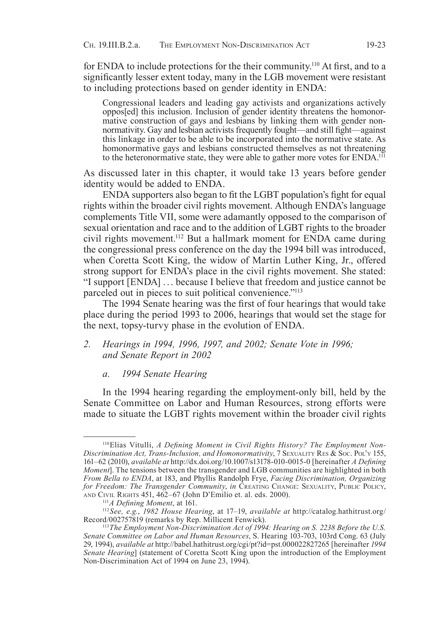for ENDA to include protections for the their community.<sup>110</sup> At first, and to a significantly lesser extent today, many in the LGB movement were resistant to including protections based on gender identity in ENDA:

Congressional leaders and leading gay activists and organizations actively mative construction of gays and lesbians by linking them with gender nonnormativity. Gay and lesbian activists frequently fought—and still fight—against this linkage in order to be able to be incorporated into the normative state. As homonormative gays and lesbians constructed themselves as not threatening to the heteronormative state, they were able to gather more votes for ENDA.<sup>111</sup>

As discussed later in this chapter, it would take 13 years before gender identity would be added to ENDA.

ENDA supporters also began to fit the LGBT population's fight for equal rights within the broader civil rights movement. Although ENDA's language complements Title VII, some were adamantly opposed to the comparison of sexual orientation and race and to the addition of LGBT rights to the broader civil rights movement.112 But a hallmark moment for ENDA came during the congressional press conference on the day the 1994 bill was introduced, when Coretta Scott King, the widow of Martin Luther King, Jr., offered strong support for ENDA's place in the civil rights movement. She stated: "I support [ENDA] . . . because I believe that freedom and justice cannot be parceled out in pieces to suit political convenience."113

The 1994 Senate hearing was the first of four hearings that would take place during the period 1993 to 2006, hearings that would set the stage for the next, topsy-turvy phase in the evolution of ENDA.

*2. Hearings in 1994, 1996, 1997, and 2002; Senate Vote in 1996; and Senate Report in 2002*

### *a. 1994 Senate Hearing*

In the 1994 hearing regarding the employment-only bill, held by the Senate Committee on Labor and Human Resources, strong efforts were made to situate the LGBT rights movement within the broader civil rights

<sup>110</sup>Elias Vitulli, *A Defining Moment in Civil Rights History? The Employment Non-Discrimination Act, Trans-Inclusion, and Homonormativity*, 7 Sexuality Res & Soc. Pol'y 155, 161–62 (2010), *available at* http://dx.doi.org/10.1007/s13178-010-0015-0 [hereinafter *A Defining Moment*]. The tensions between the transgender and LGB communities are highlighted in both *From Bella to ENDA*, at 183, and Phyllis Randolph Frye, *Facing Discrimination, Organizing for Freedom: The Transgender Community*, *in* Creating Change: Sexuality, Public Policy, and Civil Rights 451, 462–67 (John D'Emilio et. al. eds. 2000).

<sup>111</sup>*A Defining Moment*, at 161.

<sup>112</sup>*See, e.g.*, *1982 House Hearing*, at 17–19, *available at* http://catalog.hathitrust.org/ Record/002757819 (remarks by Rep. Millicent Fenwick).

<sup>113</sup>*The Employment Non-Discrimination Act of 1994: Hearing on S. 2238 Before the U.S. Senate Committee on Labor and Human Resources*, S. Hearing 103-703, 103rd Cong. 63 (July 29, 1994), *available at* http://babel.hathitrust.org/cgi/pt?id=pst.000022827265 [hereinafter *1994 Senate Hearing*] (statement of Coretta Scott King upon the introduction of the Employment Non-Discrimination Act of 1994 on June 23, 1994).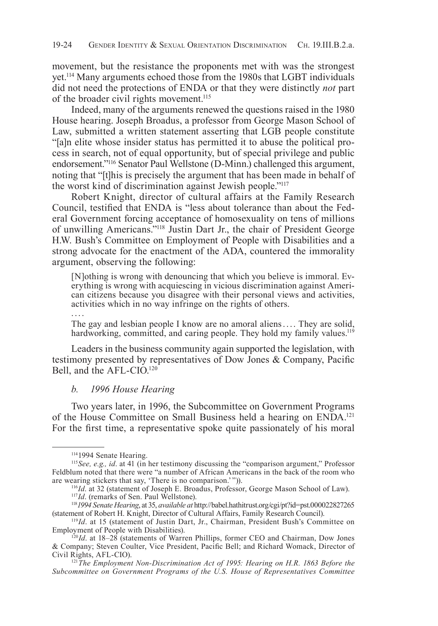movement, but the resistance the proponents met with was the strongest yet.114 Many arguments echoed those from the 1980s that LGBT individuals did not need the protections of ENDA or that they were distinctly *not* part of the broader civil rights movement.<sup>115</sup>

Indeed, many of the arguments renewed the questions raised in the 1980 House hearing. Joseph Broadus, a professor from George Mason School of Law, submitted a written statement asserting that LGB people constitute "[a]n elite whose insider status has permitted it to abuse the political process in search, not of equal opportunity, but of special privilege and public endorsement."116 Senator Paul Wellstone (D-Minn.) challenged this argument, noting that "[t]his is precisely the argument that has been made in behalf of the worst kind of discrimination against Jewish people."117

Robert Knight, director of cultural affairs at the Family Research Council, testified that ENDA is "less about tolerance than about the Federal Government forcing acceptance of homosexuality on tens of millions of unwilling Americans."118 Justin Dart Jr., the chair of President George H.W. Bush's Committee on Employment of People with Disabilities and a strong advocate for the enactment of the ADA, countered the immorality argument, observing the following:

[N]othing is wrong with denouncing that which you believe is immoral. Everything is wrong with acquiescing in vicious discrimination against American citizens because you disagree with their personal views and activities, activities which in no way infringe on the rights of others. . . . .

The gay and lesbian people I know are no amoral aliens.... They are solid, hardworking, committed, and caring people. They hold my family values.<sup>119</sup>

Leaders in the business community again supported the legislation, with testimony presented by representatives of Dow Jones & Company, Pacific Bell, and the AFL-CIO.<sup>120</sup>

### *b. 1996 House Hearing*

Two years later, in 1996, the Subcommittee on Government Programs of the House Committee on Small Business held a hearing on ENDA.121 For the first time, a representative spoke quite passionately of his moral

<sup>1141994</sup> Senate Hearing.

<sup>115</sup>*See, e.g., id*. at 41 (in her testimony discussing the "comparison argument," Professor Feldblum noted that there were "a number of African Americans in the back of the room who are wearing stickers that say, 'There is no comparison.'")).

<sup>116</sup>*Id*. at 32 (statement of Joseph E. Broadus, Professor, George Mason School of Law).

<sup>&</sup>lt;sup>117</sup>*Id.* (remarks of Sen. Paul Wellstone).

<sup>118</sup>*1994 Senate Hearing*, at 35, *available at* http://babel.hathitrust.org/cgi/pt?id=pst.000022827265 (statement of Robert H. Knight, Director of Cultural Affairs, Family Research Council).

<sup>119</sup>*Id*. at 15 (statement of Justin Dart, Jr., Chairman, President Bush's Committee on Employment of People with Disabilities).

<sup>120</sup>*Id*. at 18–28 (statements of Warren Phillips, former CEO and Chairman, Dow Jones & Company; Steven Coulter, Vice President, Pacific Bell; and Richard Womack, Director of Civil Rights, AFL-CIO).

<sup>121</sup>*The Employment Non-Discrimination Act of 1995: Hearing on H.R. 1863 Before the Subcommittee on Government Programs of the U.S. House of Representatives Committee*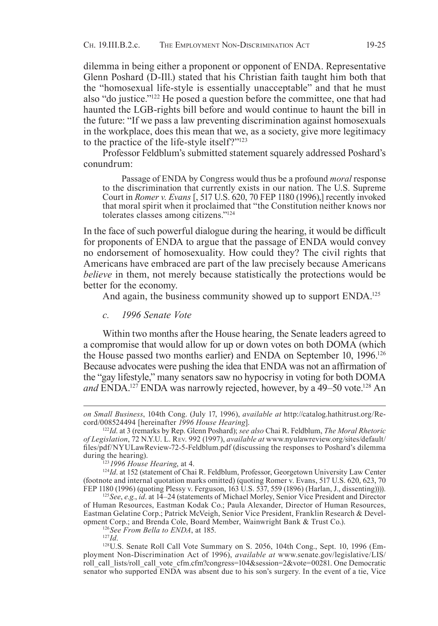dilemma in being either a proponent or opponent of ENDA. Representative Glenn Poshard (D-Ill.) stated that his Christian faith taught him both that the "homosexual life-style is essentially unacceptable" and that he must also "do justice."122 He posed a question before the committee, one that had haunted the LGB-rights bill before and would continue to haunt the bill in the future: "If we pass a law preventing discrimination against homosexuals in the workplace, does this mean that we, as a society, give more legitimacy to the practice of the life-style itself?"123

Professor Feldblum's submitted statement squarely addressed Poshard's conundrum:

Passage of ENDA by Congress would thus be a profound *moral* response to the discrimination that currently exists in our nation. The U.S. Supreme Court in *Romer v. Evans* [, 517 U.S. 620, 70 FEP 1180 (1996),] recently invoked that moral spirit when it proclaimed that "the Constitution neither knows nor tolerates classes among citizens."124

In the face of such powerful dialogue during the hearing, it would be difficult for proponents of ENDA to argue that the passage of ENDA would convey no endorsement of homosexuality. How could they? The civil rights that Americans have embraced are part of the law precisely because Americans *believe* in them, not merely because statistically the protections would be better for the economy.

And again, the business community showed up to support ENDA.<sup>125</sup>

*c. 1996 Senate Vote*

Within two months after the House hearing, the Senate leaders agreed to a compromise that would allow for up or down votes on both DOMA (which the House passed two months earlier) and ENDA on September 10, 1996.126 Because advocates were pushing the idea that ENDA was not an affirmation of the "gay lifestyle," many senators saw no hypocrisy in voting for both DOMA *and* ENDA.127 ENDA was narrowly rejected, however, by a 49–50 vote.128 An

*on Small Business*, 104th Cong. (July 17, 1996), *available at* http://catalog.hathitrust.org/Record/008524494 [hereinafter *1996 House Hearing*].

<sup>122</sup>*Id*. at 3 (remarks by Rep. Glenn Poshard); *see also* Chai R. Feldblum, *The Moral Rhetoric of Legislation*, 72 N.Y.U. L. Rev. 992 (1997), *available at* www.nyulawreview.org/sites/default/ files/pdf/NYULawReview-72-5-Feldblum.pdf (discussing the responses to Poshard's dilemma during the hearing).

<sup>123</sup>*1996 House Hearing*, at 4.

<sup>&</sup>lt;sup>124</sup>Id. at 152 (statement of Chai R. Feldblum, Professor, Georgetown University Law Center (footnote and internal quotation marks omitted) (quoting Romer v. Evans, 517 U.S. 620, 623, 70 FEP 1180 (1996) (quoting Plessy v. Ferguson, 163 U.S. 537, 559 (1896) (Harlan, J., dissenting)))).

<sup>125</sup>*See*, *e.g.*, *id*. at 14–24 (statements of Michael Morley, Senior Vice President and Director of Human Resources, Eastman Kodak Co.; Paula Alexander, Director of Human Resources, Eastman Gelatine Corp.; Patrick McVeigh, Senior Vice President, Franklin Research & Development Corp.; and Brenda Cole, Board Member, Wainwright Bank & Trust Co.).

<sup>126</sup>*See From Bella to ENDA*, at 185.

<sup>127</sup>*Id*.

<sup>128</sup>U.S. Senate Roll Call Vote Summary on S. 2056, 104th Cong., Sept. 10, 1996 (Employment Non-Discrimination Act of 1996), *available at* www.senate.gov/legislative/LIS/ roll\_call\_lists/roll\_call\_vote\_cfm.cfm?congress=104&session=2&vote=00281. One Democratic senator who supported ENDA was absent due to his son's surgery. In the event of a tie, Vice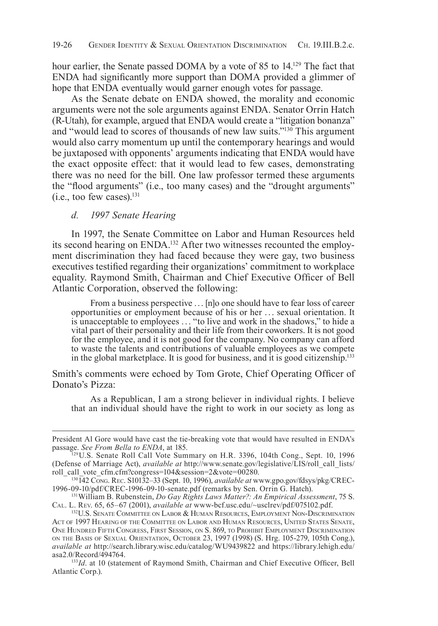hour earlier, the Senate passed DOMA by a vote of 85 to 14.<sup>129</sup> The fact that ENDA had significantly more support than DOMA provided a glimmer of hope that ENDA eventually would garner enough votes for passage.

As the Senate debate on ENDA showed, the morality and economic arguments were not the sole arguments against ENDA. Senator Orrin Hatch (R-Utah), for example, argued that ENDA would create a "litigation bonanza" and "would lead to scores of thousands of new law suits."130 This argument would also carry momentum up until the contemporary hearings and would be juxtaposed with opponents' arguments indicating that ENDA would have the exact opposite effect: that it would lead to few cases, demonstrating there was no need for the bill. One law professor termed these arguments the "flood arguments" (i.e., too many cases) and the "drought arguments"  $(i.e., too few cases).<sup>131</sup>$ 

### *d. 1997 Senate Hearing*

In 1997, the Senate Committee on Labor and Human Resources held its second hearing on ENDA.<sup>132</sup> After two witnesses recounted the employment discrimination they had faced because they were gay, two business executives testified regarding their organizations' commitment to workplace equality. Raymond Smith, Chairman and Chief Executive Officer of Bell Atlantic Corporation, observed the following:

From a business perspective ... [n]o one should have to fear loss of career opportunities or employment because of his or her . . . sexual orientation. It is unacceptable to employees . . . "to live and work in the shadows," to hide a vital part of their personality and their life from their coworkers. It is not good for the employee, and it is not good for the company. No company can afford to waste the talents and contributions of valuable employees as we compete in the global marketplace. It is good for business, and it is good citizenship.<sup>133</sup>

Smith's comments were echoed by Tom Grote, Chief Operating Officer of Donato's Pizza:

As a Republican, I am a strong believer in individual rights. I believe that an individual should have the right to work in our society as long as

President Al Gore would have cast the tie-breaking vote that would have resulted in ENDA's passage. *See From Bella to ENDA*, at 185.

<sup>129</sup>U.S. Senate Roll Call Vote Summary on H.R. 3396, 104th Cong., Sept. 10, 1996 (Defense of Marriage Act), *available at* http://www.senate.gov/legislative/LIS/roll\_call\_lists/ roll\_call\_vote\_cfm.cfm?congress=104&session=2&vote=00280.

<sup>130142</sup> Cong. Rec. S10132–33 (Sept. 10, 1996), *available at* www.gpo.gov/fdsys/pkg/CREC-1996-09-10/pdf/CREC-1996-09-10-senate.pdf (remarks by Sen. Orrin G. Hatch).

<sup>131</sup>William B. Rubenstein, *Do Gay Rights Laws Matter?: An Empirical Assessment*, 75 S. Cal. L. Rev. 65, 65–67 (2001), *available at* www-bcf.usc.edu/~usclrev/pdf/075102.pdf.

<sup>&</sup>lt;sup>132</sup>U.S. SENATE COMMITTEE ON LABOR & HUMAN RESOURCES, EMPLOYMENT NON-DISCRIMINATION Act of 1997 Hearing of the Committee on Labor and Human Resources, United States Senate, One Hundred Fifth Congress, First Session, on S. 869, to Prohibit Employment Discrimination on the Basis of Sexual Orientation, October 23, 1997 (1998) (S. Hrg. 105-279, 105th Cong.), *available at* http://search.library.wisc.edu/catalog/WU9439822 and https://library.lehigh.edu/ asa2.0/Record/494764.

<sup>133</sup>Id. at 10 (statement of Raymond Smith, Chairman and Chief Executive Officer, Bell Atlantic Corp.).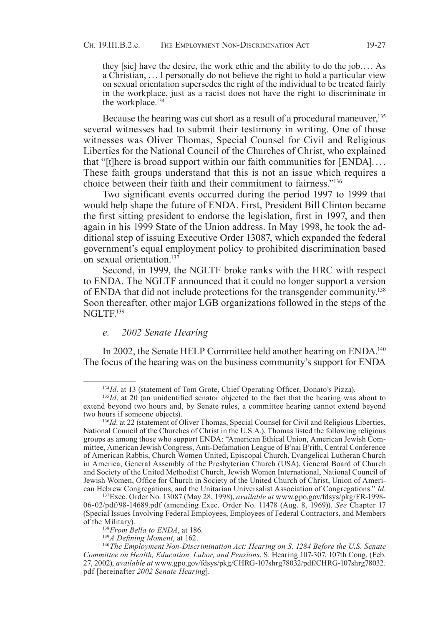they [sic] have the desire, the work ethic and the ability to do the job.... As a Christian, . . . I personally do not believe the right to hold a particular view on sexual orientation supersedes the right of the individual to be treated fairly in the workplace, just as a racist does not have the right to discriminate in the workplace.<sup>134</sup>

Because the hearing was cut short as a result of a procedural maneuver,<sup>135</sup> several witnesses had to submit their testimony in writing. One of those witnesses was Oliver Thomas, Special Counsel for Civil and Religious Liberties for the National Council of the Churches of Christ, who explained that "[t]here is broad support within our faith communities for [ENDA]. . . . These faith groups understand that this is not an issue which requires a choice between their faith and their commitment to fairness."136

Two significant events occurred during the period 1997 to 1999 that would help shape the future of ENDA. First, President Bill Clinton became the first sitting president to endorse the legislation, first in 1997, and then again in his 1999 State of the Union address. In May 1998, he took the additional step of issuing Executive Order 13087, which expanded the federal government's equal employment policy to prohibited discrimination based on sexual orientation.<sup>137</sup>

Second, in 1999, the NGLTF broke ranks with the HRC with respect to ENDA. The NGLTF announced that it could no longer support a version of ENDA that did not include protections for the transgender community.<sup>138</sup> Soon thereafter, other major LGB organizations followed in the steps of the NGLTF<sup>139</sup>

### *e. 2002 Senate Hearing*

In 2002, the Senate HELP Committee held another hearing on ENDA.140 The focus of the hearing was on the business community's support for ENDA

<sup>&</sup>lt;sup>134</sup>Id. at 13 (statement of Tom Grote, Chief Operating Officer, Donato's Pizza).

<sup>&</sup>lt;sup>135</sup>*Id*. at 20 (an unidentified senator objected to the fact that the hearing was about to extend beyond two hours and, by Senate rules, a committee hearing cannot extend beyond two hours if someone objects).

<sup>&</sup>lt;sup>136</sup>Id. at 22 (statement of Oliver Thomas, Special Counsel for Civil and Religious Liberties, National Council of the Churches of Christ in the U.S.A.). Thomas listed the following religious groups as among those who support ENDA: "American Ethical Union, American Jewish Committee, American Jewish Congress, Anti-Defamation League of B'nai B'rith, Central Conference of American Rabbis, Church Women United, Episcopal Church, Evangelical Lutheran Church in America, General Assembly of the Presbyterian Church (USA), General Board of Church and Society of the United Methodist Church, Jewish Women International, National Council of Jewish Women, Office for Church in Society of the United Church of Christ, Union of American Hebrew Congregations, and the Unitarian Universalist Association of Congregations." *Id*.

<sup>137</sup>Exec. Order No. 13087 (May 28, 1998), *available at* www.gpo.gov/fdsys/pkg/FR-1998- 06-02/pdf/98-14689.pdf (amending Exec. Order No. 11478 (Aug. 8, 1969)). *See* Chapter 17 (Special Issues Involving Federal Employees, Employees of Federal Contractors, and Members of the Military).

<sup>138</sup>*From Bella to ENDA*, at 186.

<sup>139</sup>*A Defining Moment*, at 162.

<sup>140</sup>*The Employment Non-Discrimination Act: Hearing on S. 1284 Before the U.S. Senate Committee on Health, Education, Labor, and Pensions*, S. Hearing 107-307, 107th Cong. (Feb. 27, 2002), *available at* www.gpo.gov/fdsys/pkg/CHRG-107shrg78032/pdf/CHRG-107shrg78032. pdf [hereinafter *2002 Senate Hearing*].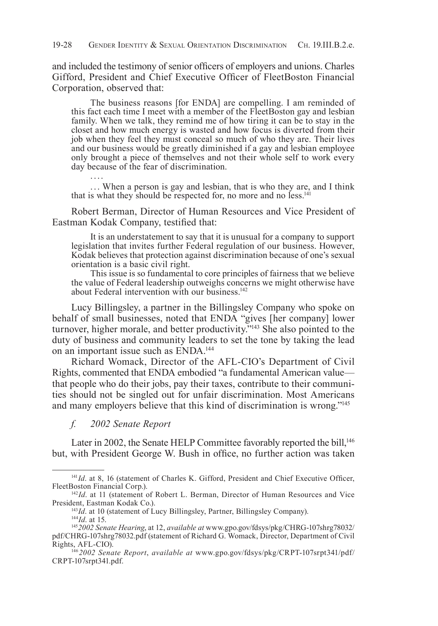and included the testimony of senior officers of employers and unions. Charles Gifford, President and Chief Executive Officer of FleetBoston Financial Corporation, observed that:

The business reasons [for ENDA] are compelling. I am reminded of this fact each time I meet with a member of the FleetBoston gay and lesbian family. When we talk, they remind me of how tiring it can be to stay in the closet and how much energy is wasted and how focus is diverted from their job when they feel they must conceal so much of who they are. Their lives and our business would be greatly diminished if a gay and lesbian employee only brought a piece of themselves and not their whole self to work every day because of the fear of discrimination.

... When a person is gay and lesbian, that is who they are, and I think that is what they should be respected for, no more and no less.141

Robert Berman, Director of Human Resources and Vice President of Eastman Kodak Company, testified that:

It is an understatement to say that it is unusual for a company to support legislation that invites further Federal regulation of our business. However, Kodak believes that protection against discrimination because of one's sexual orientation is a basic civil right.

This issue is so fundamental to core principles of fairness that we believe the value of Federal leadership outweighs concerns we might otherwise have about Federal intervention with our business.<sup>142</sup>

Lucy Billingsley, a partner in the Billingsley Company who spoke on behalf of small businesses, noted that ENDA "gives [her company] lower turnover, higher morale, and better productivity."143 She also pointed to the duty of business and community leaders to set the tone by taking the lead on an important issue such as ENDA.144

Richard Womack, Director of the AFL-CIO's Department of Civil Rights, commented that ENDA embodied "a fundamental American value that people who do their jobs, pay their taxes, contribute to their communities should not be singled out for unfair discrimination. Most Americans and many employers believe that this kind of discrimination is wrong."145

### *f. 2002 Senate Report*

Later in 2002, the Senate HELP Committee favorably reported the bill,<sup>146</sup> but, with President George W. Bush in office, no further action was taken

<sup>141</sup>*Id*. at 8, 16 (statement of Charles K. Gifford, President and Chief Executive Officer, FleetBoston Financial Corp.).

<sup>&</sup>lt;sup>142</sup>Id. at 11 (statement of Robert L. Berman, Director of Human Resources and Vice President, Eastman Kodak Co.).

<sup>&</sup>lt;sup>143</sup>*Id.* at 10 (statement of Lucy Billingsley, Partner, Billingsley Company).

<sup>144</sup>*Id*. at 15.

<sup>145</sup>*2002 Senate Hearing*, at 12, *available at* www.gpo.gov/fdsys/pkg/CHRG-107shrg78032/ pdf/CHRG-107shrg78032.pdf (statement of Richard G. Womack, Director, Department of Civil Rights, AFL-CIO).

<sup>146</sup> *2002 Senate Report*, *available at* www.gpo.gov/fdsys/pkg/CRPT-107srpt341/pdf/ CRPT-107srpt341.pdf.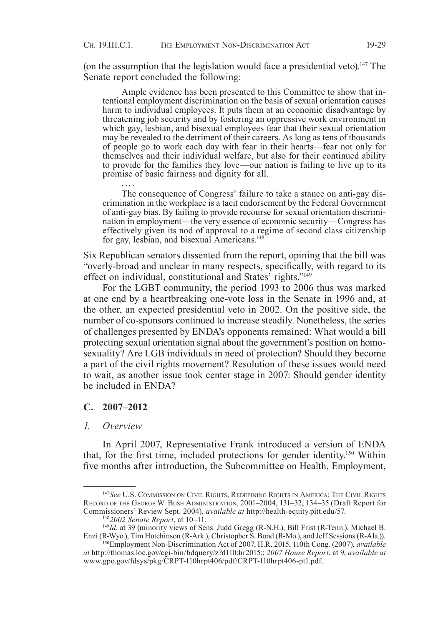. . . .

(on the assumption that the legislation would face a presidential veto).147 The Senate report concluded the following:

Ample evidence has been presented to this Committee to show that intentional employment discrimination on the basis of sexual orientation causes harm to individual employees. It puts them at an economic disadvantage by threatening job security and by fostering an oppressive work environment in which gay, lesbian, and bisexual employees fear that their sexual orientation may be revealed to the detriment of their careers. As long as tens of thousands of people go to work each day with fear in their hearts—fear not only for themselves and their individual welfare, but also for their continued ability to provide for the families they love—our nation is failing to live up to its promise of basic fairness and dignity for all.

The consequence of Congress' failure to take a stance on anti-gay discrimination in the workplace is a tacit endorsement by the Federal Government of anti-gay bias. By failing to provide recourse for sexual orientation discrimination in employment—the very essence of economic security—Congress has effectively given its nod of approval to a regime of second class citizenship for gay, lesbian, and bisexual Americans.<sup>148</sup>

Six Republican senators dissented from the report, opining that the bill was "overly-broad and unclear in many respects, specifically, with regard to its effect on individual, constitutional and States' rights."149

For the LGBT community, the period 1993 to 2006 thus was marked at one end by a heartbreaking one-vote loss in the Senate in 1996 and, at the other, an expected presidential veto in 2002. On the positive side, the number of co-sponsors continued to increase steadily. Nonetheless, the series of challenges presented by ENDA's opponents remained: What would a bill protecting sexual orientation signal about the government's position on homosexuality? Are LGB individuals in need of protection? Should they become a part of the civil rights movement? Resolution of these issues would need to wait, as another issue took center stage in 2007: Should gender identity be included in ENDA?

### **C. 2007–2012**

#### *1. Overview*

In April 2007, Representative Frank introduced a version of ENDA that, for the first time, included protections for gender identity.150 Within five months after introduction, the Subcommittee on Health, Employment,

<sup>147</sup>*See* U.S. Commission on Civil Rights, Redefining Rights in America: The Civil Rights Record of the George W. Bush Administration, 2001–2004, 131–32, 134–35 (Draft Report for Commissioners' Review Sept. 2004), *available at* http://health-equity.pitt.edu/57.

<sup>148</sup>*2002 Senate Report*, at 10–11.

<sup>&</sup>lt;sup>149</sup>*Id*. at 39 (minority views of Sens. Judd Gregg (R-N.H.), Bill Frist (R-Tenn.), Michael B. Enzi (R-Wyo.), Tim Hutchinson (R-Ark.), Christopher S. Bond (R-Mo.), and Jeff Sessions (R-Ala.)).

<sup>150</sup>Employment Non-Discrimination Act of 2007, H.R. 2015, 110th Cong. (2007), *available at* http://thomas.loc.gov/cgi-bin/bdquery/z?d110:hr2015:; *2007 House Report*, at 9, *available at* www.gpo.gov/fdsys/pkg/CRPT-110hrpt406/pdf/CRPT-110hrpt406-pt1.pdf.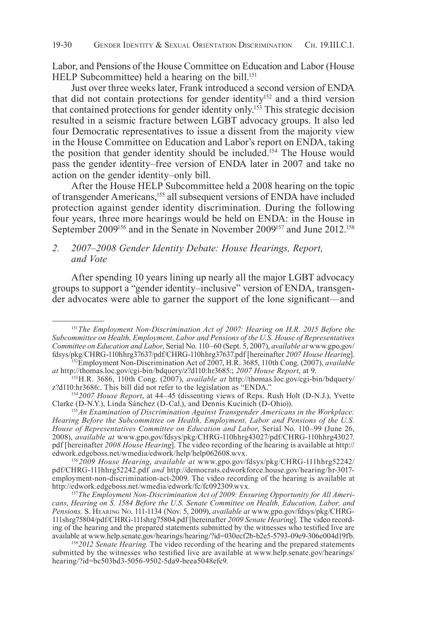Labor, and Pensions of the House Committee on Education and Labor (House HELP Subcommittee) held a hearing on the bill.<sup>151</sup>

Just over three weeks later, Frank introduced a second version of ENDA that did not contain protections for gender identity152 and a third version that contained protections for gender identity only.153 This strategic decision resulted in a seismic fracture between LGBT advocacy groups. It also led four Democratic representatives to issue a dissent from the majority view in the House Committee on Education and Labor's report on ENDA, taking the position that gender identity should be included.154 The House would pass the gender identity–free version of ENDA later in 2007 and take no action on the gender identity–only bill.

After the House HELP Subcommittee held a 2008 hearing on the topic of transgender Americans,155 all subsequent versions of ENDA have included protection against gender identity discrimination. During the following four years, three more hearings would be held on ENDA: in the House in September 2009<sup>156</sup> and in the Senate in November 2009<sup>157</sup> and June 2012.<sup>158</sup>

## *2. 2007–2008 Gender Identity Debate: House Hearings, Report, and Vote*

After spending 10 years lining up nearly all the major LGBT advocacy groups to support a "gender identity–inclusive" version of ENDA, transgender advocates were able to garner the support of the lone significant—and

<sup>151</sup>*The Employment Non-Discrimination Act of 2007: Hearing on H.R. 2015 Before the Subcommittee on Health, Employment, Labor and Pensions of the U.S. House of Representatives Committee on Education and Labor*, Serial No. 110–60 (Sept. 5, 2007), *available at* www.gpo.gov/ fdsys/pkg/CHRG-110hhrg37637/pdf/CHRG-110hhrg37637.pdf [hereinafter *2007 House Hearing*].

<sup>152</sup>Employment Non-Discrimination Act of 2007, H.R. 3685, 110th Cong. (2007), *available at* http://thomas.loc.gov/cgi-bin/bdquery/z?d110:hr3685:; *2007 House Report*, at 9.

<sup>153</sup>H.R. 3686, 110th Cong. (2007), *available at* http://thomas.loc.gov/cgi-bin/bdquery/ z?d110:hr3686:. This bill did not refer to the legislation as "ENDA."

<sup>154</sup>*2007 House Report*, at 44–45 (dissenting views of Reps. Rush Holt (D-N.J.), Yvette Clarke (D-N.Y.), Linda Sánchez (D-Cal.), and Dennis Kucinich (D-Ohio)).

<sup>155</sup>*An Examination of Discrimination Against Transgender Americans in the Workplace: Hearing Before the Subcommittee on Health, Employment, Labor and Pensions of the U.S. House of Representatives Committee on Education and Labor*, Serial No. 110–99 (June 26, 2008), *available at* www.gpo.gov/fdsys/pkg/CHRG-110hhrg43027/pdf/CHRG-110hhrg43027. pdf [hereinafter *2008 House Hearing*]. The video recording of the hearing is available at http:// edwork.edgeboss.net/wmedia/edwork/help/help062608.wvx.

<sup>156</sup> *2009 House Hearing*, *available at* www.gpo.gov/fdsys/pkg/CHRG-111hhrg52242/ pdf/CHRG-111hhrg52242.pdf *and* http://democrats.edworkforce.house.gov/hearing/hr-3017 employment-non-discrimination-act-2009. The video recording of the hearing is available at http://edwork.edgeboss.net/wmedia/edwork/fc/fc092309.wvx.

<sup>157</sup>*The Employment Non-Discrimination Act of 2009: Ensuring Opportunity for All Americans*, *Hearing on S. 1584 Before the U.S. Senate Committee on Health, Education, Labor, and Pensions,* S. Hearing No. 111-1134 (Nov. 5, 2009), *available at* www.gpo.gov/fdsys/pkg/CHRG-111shrg75804/pdf/CHRG-111shrg75804.pdf [hereinafter *2009 Senate Hearing*]. The video recording of the hearing and the prepared statements submitted by the witnesses who testified live are available at www.help.senate.gov/hearings/hearing/?id=030ecf2b-b2e5-5793-09e9-306e004d19fb.

<sup>158</sup>*2012 Senate Hearing*. The video recording of the hearing and the prepared statements submitted by the witnesses who testified live are available at www.help.senate.gov/hearings/ hearing/?id=bc503bd3-5056-9502-5da9-beea5048efc9.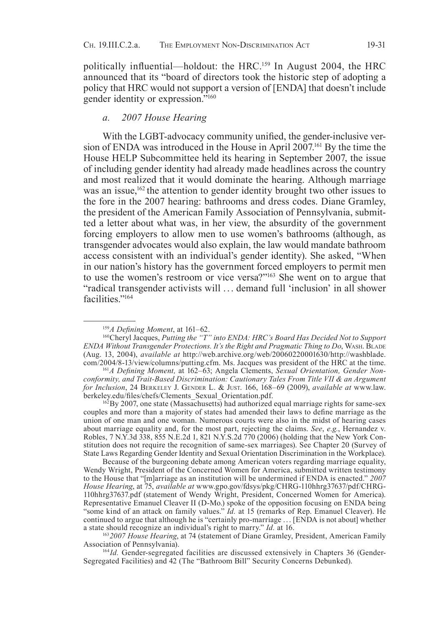politically influential—holdout: the HRC.<sup>159</sup> In August 2004, the HRC announced that its "board of directors took the historic step of adopting a policy that HRC would not support a version of [ENDA] that doesn't include gender identity or expression."160

## *a. 2007 House Hearing*

With the LGBT-advocacy community unified, the gender-inclusive version of ENDA was introduced in the House in April 2007.161 By the time the House HELP Subcommittee held its hearing in September 2007, the issue of including gender identity had already made headlines across the country and most realized that it would dominate the hearing. Although marriage was an issue,<sup>162</sup> the attention to gender identity brought two other issues to the fore in the 2007 hearing: bathrooms and dress codes. Diane Gramley, the president of the American Family Association of Pennsylvania, submitted a letter about what was, in her view, the absurdity of the government forcing employers to allow men to use women's bathrooms (although, as transgender advocates would also explain, the law would mandate bathroom access consistent with an individual's gender identity). She asked, "When in our nation's history has the government forced employers to permit men to use the women's restroom or vice versa?"163 She went on to argue that "radical transgender activists will . . . demand full 'inclusion' in all shower facilities."164

 $162$  By 2007, one state (Massachusetts) had authorized equal marriage rights for same-sex couples and more than a majority of states had amended their laws to define marriage as the union of one man and one woman. Numerous courts were also in the midst of hearing cases about marriage equality and, for the most part, rejecting the claims. *See*, *e.g.*, Hernandez v. Robles, 7 N.Y.3d 338, 855 N.E.2d 1, 821 N.Y.S.2d 770 (2006) (holding that the New York Constitution does not require the recognition of same-sex marriages). See Chapter 20 (Survey of State Laws Regarding Gender Identity and Sexual Orientation Discrimination in the Workplace).

Because of the burgeoning debate among American voters regarding marriage equality, Wendy Wright, President of the Concerned Women for America, submitted written testimony to the House that "[m]arriage as an institution will be undermined if ENDA is enacted." *2007 House Hearing*, at 75, *available at* www.gpo.gov/fdsys/pkg/CHRG-110hhrg37637/pdf/CHRG-110hhrg37637.pdf (statement of Wendy Wright, President, Concerned Women for America). Representative Emanuel Cleaver II (D-Mo.) spoke of the opposition focusing on ENDA being "some kind of an attack on family values." *Id.* at 15 (remarks of Rep. Emanuel Cleaver). He continued to argue that although he is "certainly pro-marriage . . . [ENDA is not about] whether a state should recognize an individual's right to marry." *Id.* at 16.

<sup>163</sup>*2007 House Hearing*, at 74 (statement of Diane Gramley, President, American Family Association of Pennsylvania).

164*Id.* Gender-segregated facilities are discussed extensively in Chapters 36 (Gender-Segregated Facilities) and 42 (The "Bathroom Bill" Security Concerns Debunked).

<sup>159</sup>*A Defining Moment*, at 161–62.

<sup>160</sup>Cheryl Jacques, *Putting the "T" into ENDA: HRC's Board Has Decided Not to Support ENDA Without Transgender Protections. It's the Right and Pragmatic Thing to Do*, Wash. Blade (Aug. 13, 2004), *available at* http://web.archive.org/web/20060220001630/http://washblade. com/2004/8-13/view/columns/putting.cfm. Ms. Jacques was president of the HRC at the time.

<sup>161</sup>*A Defining Moment,* at 162–63; Angela Clements, *Sexual Orientation, Gender Nonconformity, and Trait-Based Discrimination: Cautionary Tales From Title VII & an Argument for Inclusion*, 24 BERKELEY J. GENDER L. & JUST. 166, 168-69 (2009), *available at* www.law. berkeley.edu/files/chefs/Clements\_Sexual\_Orientation.pdf.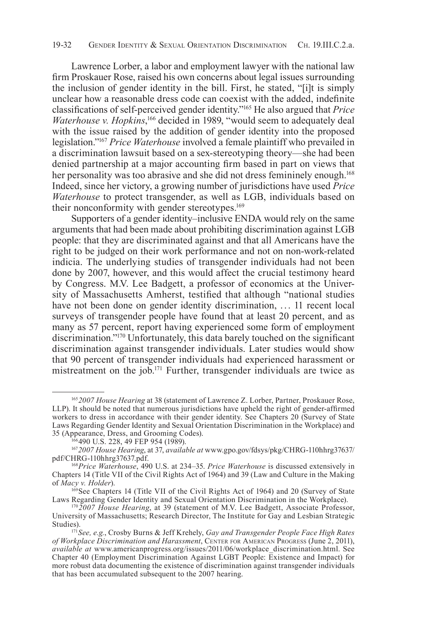Lawrence Lorber, a labor and employment lawyer with the national law firm Proskauer Rose, raised his own concerns about legal issues surrounding the inclusion of gender identity in the bill. First, he stated, "[i]t is simply unclear how a reasonable dress code can coexist with the added, indefinite classifications of self-perceived gender identity."165 He also argued that *Price Waterhouse v. Hopkins*,<sup>166</sup> decided in 1989, "would seem to adequately deal with the issue raised by the addition of gender identity into the proposed legislation."167 *Price Waterhouse* involved a female plaintiff who prevailed in a discrimination lawsuit based on a sex-stereotyping theory—she had been denied partnership at a major accounting firm based in part on views that her personality was too abrasive and she did not dress femininely enough.<sup>168</sup> Indeed, since her victory, a growing number of jurisdictions have used *Price Waterhouse* to protect transgender, as well as LGB, individuals based on their nonconformity with gender stereotypes.<sup>169</sup>

Supporters of a gender identity–inclusive ENDA would rely on the same arguments that had been made about prohibiting discrimination against LGB people: that they are discriminated against and that all Americans have the right to be judged on their work performance and not on non-work-related indicia. The underlying studies of transgender individuals had not been done by 2007, however, and this would affect the crucial testimony heard by Congress. M.V. Lee Badgett, a professor of economics at the University of Massachusetts Amherst, testified that although "national studies have not been done on gender identity discrimination, ... 11 recent local surveys of transgender people have found that at least 20 percent, and as many as 57 percent, report having experienced some form of employment discrimination."170 Unfortunately, this data barely touched on the significant discrimination against transgender individuals. Later studies would show that 90 percent of transgender individuals had experienced harassment or mistreatment on the job.<sup>171</sup> Further, transgender individuals are twice as

<sup>165</sup>*2007 House Hearing* at 38 (statement of Lawrence Z. Lorber, Partner, Proskauer Rose, LLP). It should be noted that numerous jurisdictions have upheld the right of gender-affirmed workers to dress in accordance with their gender identity. See Chapters 20 (Survey of State Laws Regarding Gender Identity and Sexual Orientation Discrimination in the Workplace) and 35 (Appearance, Dress, and Grooming Codes).

<sup>166490</sup> U.S. 228, 49 FEP 954 (1989).

<sup>167</sup>*2007 House Hearing*, at 37, *available at* www.gpo.gov/fdsys/pkg/CHRG-110hhrg37637/ pdf/CHRG-110hhrg37637.pdf.

<sup>168</sup>*Price Waterhouse*, 490 U.S. at 234–35. *Price Waterhouse* is discussed extensively in Chapters 14 (Title VII of the Civil Rights Act of 1964) and 39 (Law and Culture in the Making of *Macy v. Holder*).

<sup>169</sup> See Chapters 14 (Title VII of the Civil Rights Act of 1964) and 20 (Survey of State Laws Regarding Gender Identity and Sexual Orientation Discrimination in the Workplace).

<sup>170</sup> *2007 House Hearing*, at 39 (statement of M.V. Lee Badgett, Associate Professor, University of Massachusetts; Research Director, The Institute for Gay and Lesbian Strategic Studies).

<sup>171</sup>*See, e.g.*, Crosby Burns & Jeff Krehely, *Gay and Transgender People Face High Rates of Workplace Discrimination and Harassment*, Center for American Progress (June 2, 2011), *available at* www.americanprogress.org/issues/2011/06/workplace\_discrimination.html. See Chapter 40 (Employment Discrimination Against LGBT People: Existence and Impact) for more robust data documenting the existence of discrimination against transgender individuals that has been accumulated subsequent to the 2007 hearing.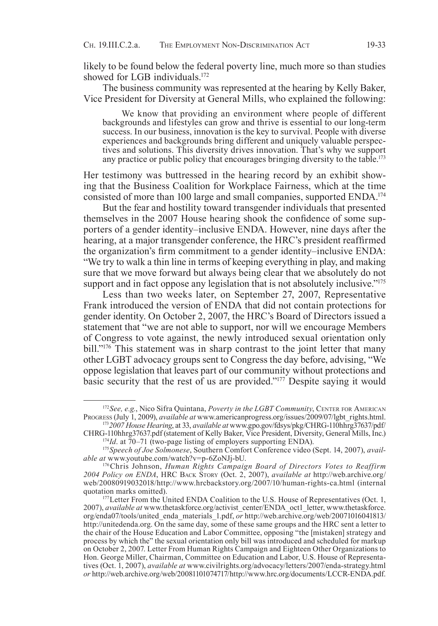likely to be found below the federal poverty line, much more so than studies showed for LGB individuals.<sup>172</sup>

The business community was represented at the hearing by Kelly Baker, Vice President for Diversity at General Mills, who explained the following:

We know that providing an environment where people of different backgrounds and lifestyles can grow and thrive is essential to our long-term success. In our business, innovation is the key to survival. People with diverse experiences and backgrounds bring different and uniquely valuable perspec- tives and solutions. This diversity drives innovation. That's why we support any practice or public policy that encourages bringing diversity to the table.<sup>173</sup>

Her testimony was buttressed in the hearing record by an exhibit showing that the Business Coalition for Workplace Fairness, which at the time consisted of more than 100 large and small companies, supported ENDA.174

But the fear and hostility toward transgender individuals that presented themselves in the 2007 House hearing shook the confidence of some supporters of a gender identity–inclusive ENDA. However, nine days after the hearing, at a major transgender conference, the HRC's president reaffirmed the organization's firm commitment to a gender identity–inclusive ENDA: "We try to walk a thin line in terms of keeping everything in play, and making sure that we move forward but always being clear that we absolutely do not support and in fact oppose any legislation that is not absolutely inclusive."<sup>175</sup>

Less than two weeks later, on September 27, 2007, Representative Frank introduced the version of ENDA that did not contain protections for gender identity. On October 2, 2007, the HRC's Board of Directors issued a statement that "we are not able to support, nor will we encourage Members of Congress to vote against, the newly introduced sexual orientation only bill."<sup>176</sup> This statement was in sharp contrast to the joint letter that many other LGBT advocacy groups sent to Congress the day before, advising, "We oppose legislation that leaves part of our community without protections and basic security that the rest of us are provided."177 Despite saying it would

<sup>&</sup>lt;sup>172</sup>See, e.g., Nico Sifra Quintana, *Poverty in the LGBT Community*, CENTER FOR AMERICAN Progress (July 1, 2009), *available at* www.americanprogress.org/issues/2009/07/lgbt\_rights.html.

<sup>173</sup>*2007 House Hearing*, at 33, *available at* www.gpo.gov/fdsys/pkg/CHRG-110hhrg37637/pdf/ CHRG-110hhrg37637.pdf (statement of Kelly Baker, Vice President, Diversity, General Mills, Inc.)

<sup>174</sup>*Id*. at 70–71 (two-page listing of employers supporting ENDA).

<sup>175</sup>*Speech of Joe Solmonese*, Southern Comfort Conference video (Sept. 14, 2007), *available at* www.youtube.com/watch?v=p-6ZoNJj-bU.

<sup>176</sup>Chris Johnson, *Human Rights Campaign Board of Directors Votes to Reaffirm 2004 Policy on ENDA*, HRC Back Story (Oct. 2, 2007), *available at* http://web.archive.org/ web/20080919032018/http://www.hrcbackstory.org/2007/10/human-rights-ca.html (internal quotation marks omitted).

<sup>&</sup>lt;sup>177</sup>Letter From the United ENDA Coalition to the U.S. House of Representatives (Oct. 1, 2007), *available at* www.thetaskforce.org/activist\_center/ENDA\_oct1\_letter, www.thetaskforce. org/enda07/tools/united\_enda\_materials\_1.pdf, *or* http://web.archive.org/web/20071016041813/ http://unitedenda.org. On the same day, some of these same groups and the HRC sent a letter to the chair of the House Education and Labor Committee, opposing "the [mistaken] strategy and process by which the" the sexual orientation only bill was introduced and scheduled for markup on October 2, 2007. Letter From Human Rights Campaign and Eighteen Other Organizations to Hon. George Miller, Chairman, Committee on Education and Labor, U.S. House of Representatives (Oct. 1, 2007), *available at* www.civilrights.org/advocacy/letters/2007/enda-strategy.html *or* http://web.archive.org/web/20081101074717/http://www.hrc.org/documents/LCCR-ENDA.pdf.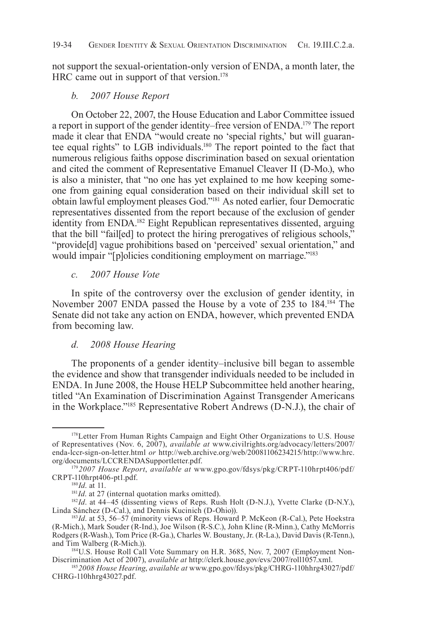not support the sexual-orientation-only version of ENDA, a month later, the HRC came out in support of that version.<sup>178</sup>

### *b. 2007 House Report*

On October 22, 2007, the House Education and Labor Committee issued a report in support of the gender identity–free version of ENDA.179 The report made it clear that ENDA "would create no 'special rights,' but will guarantee equal rights" to LGB individuals.180 The report pointed to the fact that numerous religious faiths oppose discrimination based on sexual orientation and cited the comment of Representative Emanuel Cleaver II (D-Mo.), who is also a minister, that "no one has yet explained to me how keeping someone from gaining equal consideration based on their individual skill set to obtain lawful employment pleases God."181 As noted earlier, four Democratic representatives dissented from the report because of the exclusion of gender identity from ENDA.182 Eight Republican representatives dissented, arguing that the bill "fail[ed] to protect the hiring prerogatives of religious schools," "provide[d] vague prohibitions based on 'perceived' sexual orientation," and would impair "[p]olicies conditioning employment on marriage."<sup>183</sup>

## *c. 2007 House Vote*

In spite of the controversy over the exclusion of gender identity, in November 2007 ENDA passed the House by a vote of 235 to 184.<sup>184</sup> The Senate did not take any action on ENDA, however, which prevented ENDA from becoming law.

## *d. 2008 House Hearing*

The proponents of a gender identity–inclusive bill began to assemble the evidence and show that transgender individuals needed to be included in ENDA. In June 2008, the House HELP Subcommittee held another hearing, titled "An Examination of Discrimination Against Transgender Americans in the Workplace."185 Representative Robert Andrews (D-N.J.), the chair of

<sup>&</sup>lt;sup>178</sup>Letter From Human Rights Campaign and Eight Other Organizations to U.S. House of Representatives (Nov. 6, 2007), *available at* www.civilrights.org/advocacy/letters/2007/ enda-lccr-sign-on-letter.html *or* http://web.archive.org/web/20081106234215/http://www.hrc. org/documents/LCCRENDASupportletter.pdf.

<sup>179</sup> *2007 House Report*, *available at* www.gpo.gov/fdsys/pkg/CRPT-110hrpt406/pdf/ CRPT-110hrpt406-pt1.pdf.

<sup>180</sup>*Id*. at 11.

<sup>&</sup>lt;sup>181</sup>*Id*. at 27 (internal quotation marks omitted).

<sup>182</sup>*Id*. at 44–45 (dissenting views of Reps. Rush Holt (D-N.J.), Yvette Clarke (D-N.Y.), Linda Sánchez (D-Cal.), and Dennis Kucinich (D-Ohio)).

<sup>183</sup>*Id*. at 53, 56–57 (minority views of Reps. Howard P. McKeon (R-Cal.), Pete Hoekstra (R-Mich.), Mark Souder (R-Ind.), Joe Wilson (R-S.C.), John Kline (R-Minn.), Cathy McMorris Rodgers (R-Wash.), Tom Price (R-Ga.), Charles W. Boustany, Jr. (R-La.), David Davis (R-Tenn.), and Tim Walberg (R-Mich.)).

<sup>&</sup>lt;sup>184</sup>U.S. House Roll Call Vote Summary on H.R. 3685, Nov. 7, 2007 (Employment Non-Discrimination Act of 2007), *available at* http://clerk.house.gov/evs/2007/roll1057.xml.

<sup>185</sup>*2008 House Hearing*, *available at* www.gpo.gov/fdsys/pkg/CHRG-110hhrg43027/pdf/ CHRG-110hhrg43027.pdf.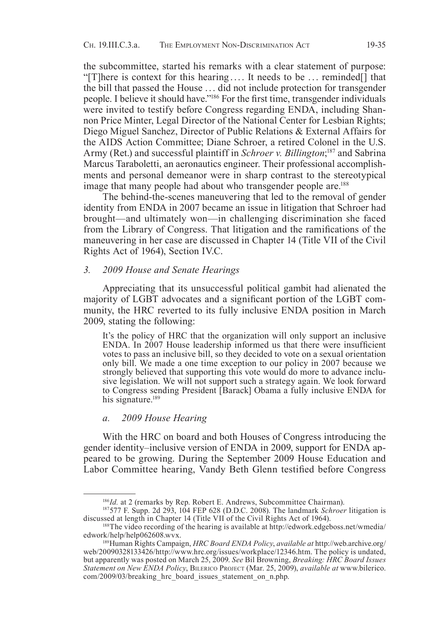the subcommittee, started his remarks with a clear statement of purpose: "[T]here is context for this hearing . . . . It needs to be . . . reminded[] that the bill that passed the House . . . did not include protection for transgender people. I believe it should have."186 For the first time, transgender individuals were invited to testify before Congress regarding ENDA, including Shannon Price Minter, Legal Director of the National Center for Lesbian Rights; Diego Miguel Sanchez, Director of Public Relations & External Affairs for the AIDS Action Committee; Diane Schroer, a retired Colonel in the U.S. Army (Ret.) and successful plaintiff in *Schroer v. Billington*; 187 and Sabrina Marcus Taraboletti, an aeronautics engineer. Their professional accomplishments and personal demeanor were in sharp contrast to the stereotypical image that many people had about who transgender people are.<sup>188</sup>

The behind-the-scenes maneuvering that led to the removal of gender identity from ENDA in 2007 became an issue in litigation that Schroer had brought—and ultimately won—in challenging discrimination she faced from the Library of Congress. That litigation and the ramifications of the maneuvering in her case are discussed in Chapter 14 (Title VII of the Civil Rights Act of 1964), Section IV.C.

### *3. 2009 House and Senate Hearings*

Appreciating that its unsuccessful political gambit had alienated the majority of LGBT advocates and a significant portion of the LGBT community, the HRC reverted to its fully inclusive ENDA position in March 2009, stating the following:

It's the policy of HRC that the organization will only support an inclusive ENDA. In 2007 House leadership informed us that there were insufficient votes to pass an inclusive bill, so they decided to vote on a sexual orientation only bill. We made a one time exception to our policy in 2007 because we strongly believed that supporting this vote would do more to advance inclusive legislation. We will not support such a strategy again. We look forward to Congress sending President [Barack] Obama a fully inclusive ENDA for his signature.<sup>189</sup>

### *a. 2009 House Hearing*

With the HRC on board and both Houses of Congress introducing the gender identity–inclusive version of ENDA in 2009, support for ENDA appeared to be growing. During the September 2009 House Education and Labor Committee hearing, Vandy Beth Glenn testified before Congress

<sup>&</sup>lt;sup>186</sup>Id. at 2 (remarks by Rep. Robert E. Andrews, Subcommittee Chairman).

<sup>187577</sup> F. Supp. 2d 293, 104 FEP 628 (D.D.C. 2008). The landmark *Schroer* litigation is discussed at length in Chapter 14 (Title VII of the Civil Rights Act of 1964).

<sup>188</sup>The video recording of the hearing is available at http://edwork.edgeboss.net/wmedia/ edwork/help/help062608.wvx.

<sup>189</sup>Human Rights Campaign, *HRC Board ENDA Policy*, *available at* http://web.archive.org/ web/20090328133426/http://www.hrc.org/issues/workplace/12346.htm. The policy is undated, but apparently was posted on March 25, 2009. *See* Bil Browning, *Breaking: HRC Board Issues Statement on New ENDA Policy*, Bilerico Project (Mar. 25, 2009), *available at* www.bilerico. com/2009/03/breaking\_hrc\_board\_issues\_statement\_on\_n.php.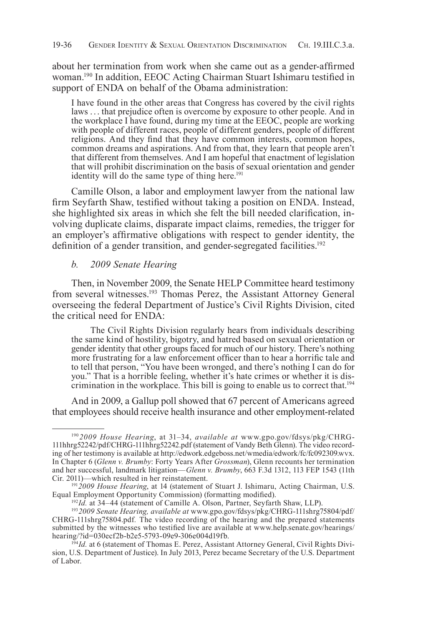about her termination from work when she came out as a gender-affirmed woman.190 In addition, EEOC Acting Chairman Stuart Ishimaru testified in support of ENDA on behalf of the Obama administration:

I have found in the other areas that Congress has covered by the civil rights laws . . . that prejudice often is overcome by exposure to other people. And in the workplace I have found, during my time at the EEOC, people are working with people of different races, people of different genders, people of different religions. And they find that they have common interests, common hopes, common dreams and aspirations. And from that, they learn that people aren't that different from themselves. And I am hopeful that enactment of legislation that will prohibit discrimination on the basis of sexual orientation and gender identity will do the same type of thing here.<sup>191</sup>

Camille Olson, a labor and employment lawyer from the national law firm Seyfarth Shaw, testified without taking a position on ENDA. Instead, she highlighted six areas in which she felt the bill needed clarification, involving duplicate claims, disparate impact claims, remedies, the trigger for an employer's affirmative obligations with respect to gender identity, the definition of a gender transition, and gender-segregated facilities.<sup>192</sup>

### *b. 2009 Senate Hearing*

Then, in November 2009, the Senate HELP Committee heard testimony from several witnesses.193 Thomas Perez, the Assistant Attorney General overseeing the federal Department of Justice's Civil Rights Division, cited the critical need for ENDA:

The Civil Rights Division regularly hears from individuals describing the same kind of hostility, bigotry, and hatred based on sexual orientation or gender identity that other groups faced for much of our history. There's nothing more frustrating for a law enforcement officer than to hear a horrific tale and to tell that person, "You have been wronged, and there's nothing I can do for you." That is a horrible feeling, whether it's hate crimes or whether it is discrimination in the workplace. This bill is going to enable us to correct that.<sup>194</sup>

And in 2009, a Gallup poll showed that 67 percent of Americans agreed that employees should receive health insurance and other employment-related

<sup>190</sup> *2009 House Hearing*, at 31–34, *available at* www.gpo.gov/fdsys/pkg/CHRG-111hhrg52242/pdf/CHRG-111hhrg52242.pdf (statement of Vandy Beth Glenn). The video recording of her testimony is available at http://edwork.edgeboss.net/wmedia/edwork/fc/fc092309.wvx. In Chapter 6 (*Glenn v. Brumby*: Forty Years After *Grossman*), Glenn recounts her termination and her successful, landmark litigation—*Glenn v. Brumby*, 663 F.3d 1312, 113 FEP 1543 (11th Cir. 2011)—which resulted in her reinstatement.

<sup>&</sup>lt;sup>191</sup>2009 House Hearing, at 14 (statement of Stuart J. Ishimaru, Acting Chairman, U.S. Equal Employment Opportunity Commission) (formatting modified).

<sup>192</sup>*Id.* at 34–44 (statement of Camille A. Olson, Partner, Seyfarth Shaw, LLP).

<sup>193</sup>*2009 Senate Hearing, available at* www.gpo.gov/fdsys/pkg/CHRG-111shrg75804/pdf/ CHRG-111shrg75804.pdf*.* The video recording of the hearing and the prepared statements submitted by the witnesses who testified live are available at www.help.senate.gov/hearings/ hearing/?id=030ecf2b-b2e5-5793-09e9-306e004d19fb.

<sup>&</sup>lt;sup>194</sup>*Id.* at 6 (statement of Thomas E. Perez, Assistant Attorney General, Civil Rights Division, U.S. Department of Justice). In July 2013, Perez became Secretary of the U.S. Department of Labor.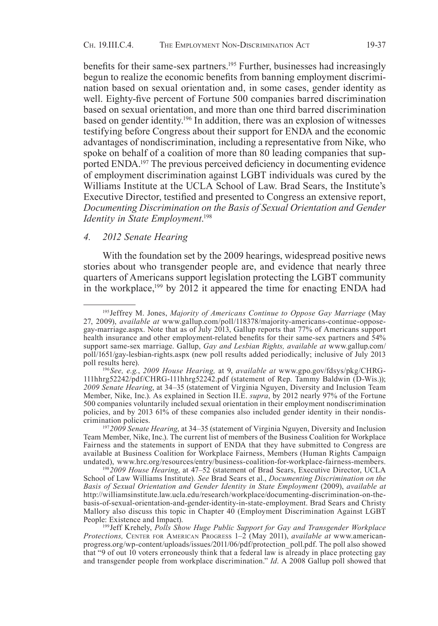benefits for their same-sex partners.195 Further, businesses had increasingly begun to realize the economic benefits from banning employment discrimination based on sexual orientation and, in some cases, gender identity as well. Eighty-five percent of Fortune 500 companies barred discrimination based on sexual orientation, and more than one third barred discrimination based on gender identity.196 In addition, there was an explosion of witnesses testifying before Congress about their support for ENDA and the economic advantages of nondiscrimination, including a representative from Nike, who spoke on behalf of a coalition of more than 80 leading companies that supported ENDA.<sup>197</sup> The previous perceived deficiency in documenting evidence of employment discrimination against LGBT individuals was cured by the Williams Institute at the UCLA School of Law. Brad Sears, the Institute's Executive Director, testified and presented to Congress an extensive report, *Documenting Discrimination on the Basis of Sexual Orientation and Gender Identity in State Employment*. 198

## *4. 2012 Senate Hearing*

With the foundation set by the 2009 hearings, widespread positive news stories about who transgender people are, and evidence that nearly three quarters of Americans support legislation protecting the LGBT community in the workplace, $199$  by  $2012$  it appeared the time for enacting ENDA had

<sup>195</sup>Jeffrey M. Jones, *Majority of Americans Continue to Oppose Gay Marriage* (May 27, 2009), *available at* www.gallup.com/poll/118378/majority-americans-continue-opposegay-marriage.aspx. Note that as of July 2013, Gallup reports that 77% of Americans support health insurance and other employment-related benefits for their same-sex partners and 54% support same-sex marriage. Gallup, *Gay and Lesbian Rights, available at* www.gallup.com/ poll/1651/gay-lesbian-rights.aspx (new poll results added periodically; inclusive of July 2013 poll results here).

<sup>196</sup>*See, e.g.*, *2009 House Hearing,* at 9, *available at* www.gpo.gov/fdsys/pkg/CHRG-111hhrg52242/pdf/CHRG-111hhrg52242.pdf (statement of Rep. Tammy Baldwin (D-Wis.)); *2009 Senate Hearing*, at 34–35 (statement of Virginia Nguyen, Diversity and Inclusion Team Member, Nike, Inc.). As explained in Section II.E. *supra*, by 2012 nearly 97% of the Fortune 500 companies voluntarily included sexual orientation in their employment nondiscrimination policies, and by 2013 61% of these companies also included gender identity in their nondiscrimination policies.

<sup>197</sup>*2009 Senate Hearing*, at 34–35 (statement of Virginia Nguyen, Diversity and Inclusion Team Member, Nike, Inc.). The current list of members of the Business Coalition for Workplace Fairness and the statements in support of ENDA that they have submitted to Congress are available at Business Coalition for Workplace Fairness, Members (Human Rights Campaign undated), www.hrc.org/resources/entry/business-coalition-for-workplace-fairness-members.

<sup>198</sup>*2009 House Hearing*, at 47–52 (statement of Brad Sears, Executive Director, UCLA School of Law Williams Institute). *See* Brad Sears et al., *Documenting Discrimination on the Basis of Sexual Orientation and Gender Identity in State Employment* (2009), *available at* http://williamsinstitute.law.ucla.edu/research/workplace/documenting-discrimination-on-thebasis-of-sexual-orientation-and-gender-identity-in-state-employment. Brad Sears and Christy Mallory also discuss this topic in Chapter 40 (Employment Discrimination Against LGBT People: Existence and Impact).

<sup>199</sup>Jeff Krehely, *Polls Show Huge Public Support for Gay and Transgender Workplace Protections,* Center for American Progress 1–2 (May 2011), *available at* www.americanprogress.org/wp-content/uploads/issues/2011/06/pdf/protection\_poll.pdf. The poll also showed that "9 of out 10 voters erroneously think that a federal law is already in place protecting gay and transgender people from workplace discrimination." *Id*. A 2008 Gallup poll showed that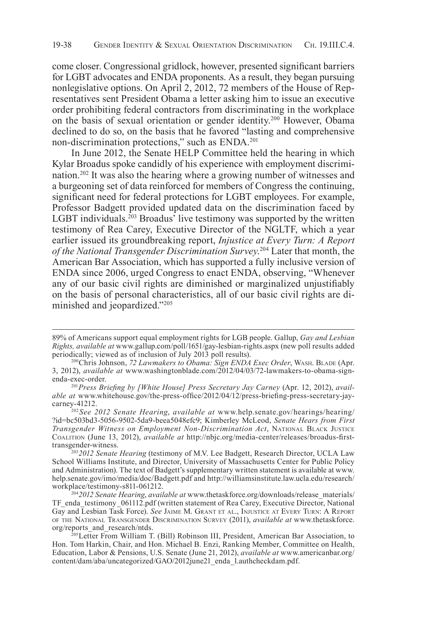come closer. Congressional gridlock, however, presented significant barriers for LGBT advocates and ENDA proponents. As a result, they began pursuing nonlegislative options. On April 2, 2012, 72 members of the House of Representatives sent President Obama a letter asking him to issue an executive order prohibiting federal contractors from discriminating in the workplace on the basis of sexual orientation or gender identity.200 However, Obama declined to do so, on the basis that he favored "lasting and comprehensive non-discrimination protections," such as ENDA.201

In June 2012, the Senate HELP Committee held the hearing in which Kylar Broadus spoke candidly of his experience with employment discrimination.202 It was also the hearing where a growing number of witnesses and a burgeoning set of data reinforced for members of Congress the continuing, significant need for federal protections for LGBT employees. For example, Professor Badgett provided updated data on the discrimination faced by LGBT individuals.203 Broadus' live testimony was supported by the written testimony of Rea Carey, Executive Director of the NGLTF, which a year earlier issued its groundbreaking report, *Injustice at Every Turn: A Report of the National Transgender Discrimination Survey*. 204 Later that month, the American Bar Association, which has supported a fully inclusive version of ENDA since 2006, urged Congress to enact ENDA, observing, "Whenever any of our basic civil rights are diminished or marginalized unjustifiably on the basis of personal characteristics, all of our basic civil rights are diminished and jeopardized."205

<sup>89%</sup> of Americans support equal employment rights for LGB people. Gallup, *Gay and Lesbian Rights, available at* www.gallup.com/poll/1651/gay-lesbian-rights.aspx (new poll results added periodically; viewed as of inclusion of July 2013 poll results).

<sup>200</sup>Chris Johnson, *72 Lawmakers to Obama: Sign ENDA Exec Order*, Wash. Blade (Apr. 3, 2012), *available at* www.washingtonblade.com/2012/04/03/72-lawmakers-to-obama-signenda-exec-order.

<sup>201</sup>*Press Briefing by [White House] Press Secretary Jay Carney* (Apr. 12, 2012), *available at* www.whitehouse.gov/the-press-office/2012/04/12/press-briefing-press-secretary-jaycarney-41212.

<sup>202</sup> *See 2012 Senate Hearing*, *available at* www.help.senate.gov/hearings/hearing/ ?id=bc503bd3-5056-9502-5da9-beea5048efc9; Kimberley McLeod, *Senate Hears from First Transgender Witness on Employment Non-Discrimination Act*, National Black Justice Coalition (June 13, 2012), *available at* http://nbjc.org/media-center/releases/broadus-firsttransgender-witness.

<sup>203</sup>*2012 Senate Hearing* (testimony of M.V. Lee Badgett, Research Director, UCLA Law School Williams Institute, and Director, University of Massachusetts Center for Public Policy and Administration). The text of Badgett's supplementary written statement is available at www. help.senate.gov/imo/media/doc/Badgett.pdf and http://williamsinstitute.law.ucla.edu/research/ workplace/testimony-s811-061212.

<sup>204</sup>*2012 Senate Hearing*, *available at* www.thetaskforce.org/downloads/release\_materials/ TF\_enda\_testimony\_061112.pdf (written statement of Rea Carey, Executive Director, National Gay and Lesbian Task Force). *See* Jaime M. Grant et al., Injustice at Every Turn: A Report of the National Transgender Discrimination Survey (2011), *available at* www.thetaskforce. org/reports\_and\_research/ntds.

<sup>205</sup>Letter From William T. (Bill) Robinson III, President, American Bar Association, to Hon. Tom Harkin, Chair, and Hon. Michael B. Enzi, Ranking Member, Committee on Health, Education, Labor & Pensions, U.S. Senate (June 21, 2012), *available at* www.americanbar.org/ content/dam/aba/uncategorized/GAO/2012june21\_enda\_l.authcheckdam.pdf.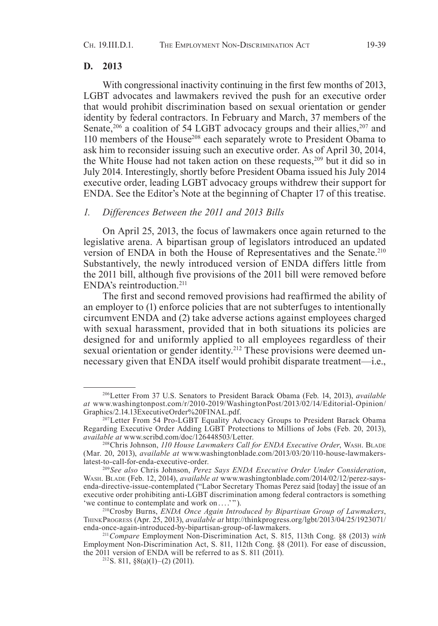#### **D. 2013**

With congressional inactivity continuing in the first few months of 2013, LGBT advocates and lawmakers revived the push for an executive order that would prohibit discrimination based on sexual orientation or gender identity by federal contractors. In February and March, 37 members of the Senate,<sup>206</sup> a coalition of 54 LGBT advocacy groups and their allies,<sup>207</sup> and 110 members of the House<sup>208</sup> each separately wrote to President Obama to ask him to reconsider issuing such an executive order. As of April 30, 2014, the White House had not taken action on these requests,<sup>209</sup> but it did so in July 2014. Interestingly, shortly before President Obama issued his July 2014 executive order, leading LGBT advocacy groups withdrew their support for ENDA. See the Editor's Note at the beginning of Chapter 17 of this treatise.

### *1. Differences Between the 2011 and 2013 Bills*

On April 25, 2013, the focus of lawmakers once again returned to the legislative arena. A bipartisan group of legislators introduced an updated version of ENDA in both the House of Representatives and the Senate.210 Substantively, the newly introduced version of ENDA differs little from the 2011 bill, although five provisions of the 2011 bill were removed before ENDA's reintroduction.211

The first and second removed provisions had reaffirmed the ability of an employer to (1) enforce policies that are not subterfuges to intentionally circumvent ENDA and (2) take adverse actions against employees charged with sexual harassment, provided that in both situations its policies are designed for and uniformly applied to all employees regardless of their sexual orientation or gender identity.<sup>212</sup> These provisions were deemed unnecessary given that ENDA itself would prohibit disparate treatment—i.e.,

<sup>206</sup>Letter From 37 U.S. Senators to President Barack Obama (Feb. 14, 2013), *available at* www.washingtonpost.com/r/2010-2019/WashingtonPost/2013/02/14/Editorial-Opinion/ Graphics/2.14.13ExecutiveOrder%20FINAL.pdf.

<sup>207</sup>Letter From 54 Pro-LGBT Equality Advocacy Groups to President Barack Obama Regarding Executive Order Adding LGBT Protections to Millions of Jobs (Feb. 20, 2013), *available at* www.scribd.com/doc/126448503/Letter.

<sup>208</sup>Chris Johnson, *110 House Lawmakers Call for ENDA Executive Order*, Wash. Blade (Mar. 20, 2013), *available at* www.washingtonblade.com/2013/03/20/110-house-lawmakerslatest-to-call-for-enda-executive-order.

<sup>209</sup>*See also* Chris Johnson, *Perez Says ENDA Executive Order Under Consideration*, Wash. Blade (Feb. 12, 2014), *available at* www.washingtonblade.com/2014/02/12/perez-saysenda-directive-issue-contemplated ("Labor Secretary Thomas Perez said [today] the issue of an executive order prohibiting anti-LGBT discrimination among federal contractors is something 'we continue to contemplate and work on . . . .' " ).

<sup>210</sup>Crosby Burns, *ENDA Once Again Introduced by Bipartisan Group of Lawmakers*, ThinkProgress (Apr. 25, 2013), *available at* http://thinkprogress.org/lgbt/2013/04/25/1923071/ enda-once-again-introduced-by-bipartisan-group-of-lawmakers.

<sup>211</sup>*Compare* Employment Non-Discrimination Act, S. 815, 113th Cong. §8 (2013) *with* Employment Non-Discrimination Act, S. 811, 112th Cong. §8 (2011). For ease of discussion, the 2011 version of ENDA will be referred to as S. 811 (2011).

 $212$ S. 811,  $\frac{$8(a)(1)-(2)(2011)}{212}$ .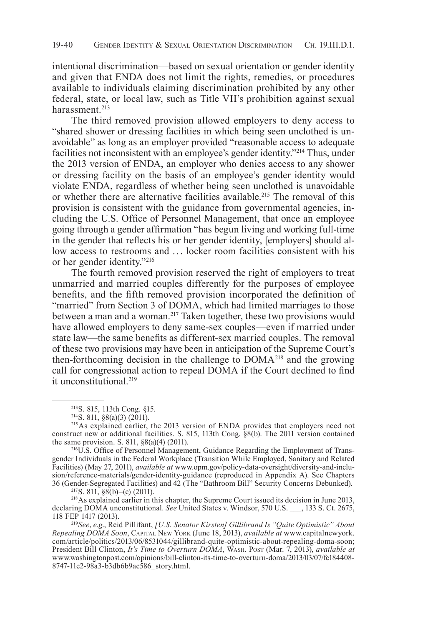intentional discrimination—based on sexual orientation or gender identity and given that ENDA does not limit the rights, remedies, or procedures available to individuals claiming discrimination prohibited by any other federal, state, or local law, such as Title VII's prohibition against sexual harassment.<sup>213</sup>

The third removed provision allowed employers to deny access to "shared shower or dressing facilities in which being seen unclothed is unavoidable" as long as an employer provided "reasonable access to adequate facilities not inconsistent with an employee's gender identity."214 Thus, under the 2013 version of ENDA, an employer who denies access to any shower or dressing facility on the basis of an employee's gender identity would violate ENDA, regardless of whether being seen unclothed is unavoidable or whether there are alternative facilities available.215 The removal of this provision is consistent with the guidance from governmental agencies, including the U.S. Office of Personnel Management, that once an employee going through a gender affirmation "has begun living and working full-time in the gender that reflects his or her gender identity, [employers] should allow access to restrooms and ... locker room facilities consistent with his or her gender identity."216

The fourth removed provision reserved the right of employers to treat unmarried and married couples differently for the purposes of employee benefits, and the fifth removed provision incorporated the definition of "married" from Section 3 of DOMA, which had limited marriages to those between a man and a woman.<sup>217</sup> Taken together, these two provisions would have allowed employers to deny same-sex couples—even if married under state law—the same benefits as different-sex married couples. The removal of these two provisions may have been in anticipation of the Supreme Court's then-forthcoming decision in the challenge to DOMA218 and the growing call for congressional action to repeal DOMA if the Court declined to find it unconstitutional<sup>219</sup>

 $217$ S. 811, §8(b)–(c) (2011).

218As explained earlier in this chapter, the Supreme Court issued its decision in June 2013, declaring DOMA unconstitutional. *See* United States v. Windsor, 570 U.S. \_\_\_, 133 S. Ct. 2675, 118 FEP 1417 (2013).

<sup>219</sup>*See*, *e.g*., Reid Pillifant, *[U.S. Senator Kirsten] Gillibrand Is "Quite Optimistic" About Repealing DOMA Soon*, Capital New York (June 18, 2013), *available at* www.capitalnewyork. com/article/politics/2013/06/8531044/gillibrand-quite-optimistic-about-repealing-doma-soon; President Bill Clinton, *It's Time to Overturn DOMA*, Wash. Post (Mar. 7, 2013), *available at* www.washingtonpost.com/opinions/bill-clinton-its-time-to-overturn-doma/2013/03/07/fc184408- 8747-11e2-98a3-b3db6b9ac586\_story.html.

<sup>213</sup>S. 815, 113th Cong. §15.

 $2^{14}$ S. 811, §8(a)(3) (2011).

<sup>215</sup>As explained earlier, the 2013 version of ENDA provides that employers need not construct new or additional facilities. S. 815, 113th Cong.  $\S8(b)$ . The 2011 version contained the same provision. S. 811, §8(a)(4) (2011).

<sup>216</sup>U.S. Office of Personnel Management, Guidance Regarding the Employment of Transgender Individuals in the Federal Workplace (Transition While Employed, Sanitary and Related Facilities) (May 27, 2011), *available at* www.opm.gov/policy-data-oversight/diversity-and-inclusion/reference-materials/gender-identity-guidance (reproduced in Appendix A). See Chapters 36 (Gender-Segregated Facilities) and 42 (The "Bathroom Bill" Security Concerns Debunked).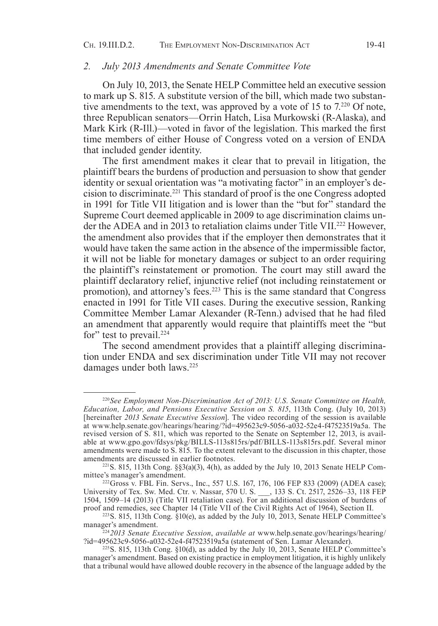#### *2. July 2013 Amendments and Senate Committee Vote*

On July 10, 2013, the Senate HELP Committee held an executive session to mark up S. 815. A substitute version of the bill, which made two substantive amendments to the text, was approved by a vote of 15 to 7.<sup>220</sup> Of note, three Republican senators—Orrin Hatch, Lisa Murkowski (R-Alaska), and Mark Kirk (R-Ill.)—voted in favor of the legislation. This marked the first time members of either House of Congress voted on a version of ENDA that included gender identity.

The first amendment makes it clear that to prevail in litigation, the plaintiff bears the burdens of production and persuasion to show that gender identity or sexual orientation was "a motivating factor" in an employer's decision to discriminate.221 This standard of proof is the one Congress adopted in 1991 for Title VII litigation and is lower than the "but for" standard the Supreme Court deemed applicable in 2009 to age discrimination claims under the ADEA and in 2013 to retaliation claims under Title VII.<sup>222</sup> However, the amendment also provides that if the employer then demonstrates that it would have taken the same action in the absence of the impermissible factor, it will not be liable for monetary damages or subject to an order requiring the plaintiff's reinstatement or promotion. The court may still award the plaintiff declaratory relief, injunctive relief (not including reinstatement or promotion), and attorney's fees.<sup>223</sup> This is the same standard that Congress enacted in 1991 for Title VII cases. During the executive session, Ranking Committee Member Lamar Alexander (R-Tenn.) advised that he had filed an amendment that apparently would require that plaintiffs meet the "but for" test to prevail.<sup>224</sup>

The second amendment provides that a plaintiff alleging discrimination under ENDA and sex discrimination under Title VII may not recover damages under both laws.<sup>225</sup>

<sup>220</sup>*See Employment Non-Discrimination Act of 2013: U.S. Senate Committee on Health, Education, Labor, and Pensions Executive Session on S. 815*, 113th Cong. (July 10, 2013) [hereinafter *2013 Senate Executive Session*]. The video recording of the session is available at www.help.senate.gov/hearings/hearing/?id=495623c9-5056-a032-52e4-f47523519a5a. The revised version of S. 811, which was reported to the Senate on September 12, 2013, is available at www.gpo.gov/fdsys/pkg/BILLS-113s815rs/pdf/BILLS-113s815rs.pdf. Several minor amendments were made to S. 815. To the extent relevant to the discussion in this chapter, those amendments are discussed in earlier footnotes.

 $221$ S. 815, 113th Cong. §§3(a)(3), 4(h), as added by the July 10, 2013 Senate HELP Committee's manager's amendment.

<sup>222</sup>Gross v. FBL Fin. Servs., Inc., 557 U.S. 167, 176, 106 FEP 833 (2009) (ADEA case); University of Tex. Sw. Med. Ctr. v. Nassar, 570 U. S. \_\_, 133 S. Ct. 2517, 2526–33, 118 FEP 1504, 1509–14 (2013) (Title VII retaliation case). For an additional discussion of burdens of proof and remedies, see Chapter 14 (Title VII of the Civil Rights Act of 1964), Section II.

<sup>&</sup>lt;sup>223</sup>S. 815, 113th Cong.  $\S10(e)$ , as added by the July 10, 2013, Senate HELP Committee's manager's amendment.

<sup>224</sup>*2013 Senate Executive Session*, *available at* www.help.senate.gov/hearings/hearing/ ?id=495623c9-5056-a032-52e4-f47523519a5a (statement of Sen. Lamar Alexander).

 $225$ S. 815, 113th Cong. §10(d), as added by the July 10, 2013, Senate HELP Committee's manager's amendment. Based on existing practice in employment litigation, it is highly unlikely that a tribunal would have allowed double recovery in the absence of the language added by the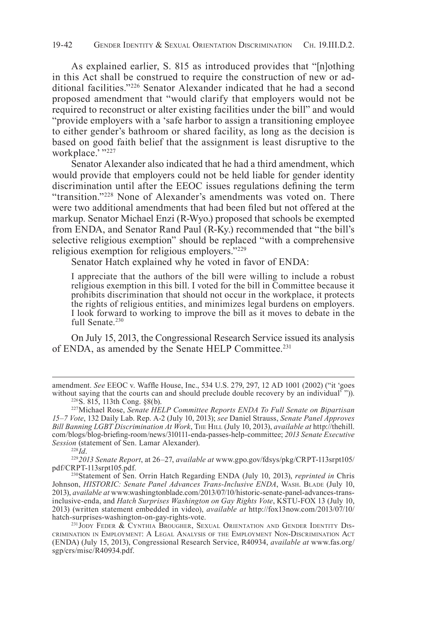As explained earlier, S. 815 as introduced provides that "[n]othing in this Act shall be construed to require the construction of new or additional facilities."226 Senator Alexander indicated that he had a second proposed amendment that "would clarify that employers would not be required to reconstruct or alter existing facilities under the bill" and would "provide employers with a 'safe harbor to assign a transitioning employee to either gender's bathroom or shared facility, as long as the decision is based on good faith belief that the assignment is least disruptive to the workplace.'"227

Senator Alexander also indicated that he had a third amendment, which would provide that employers could not be held liable for gender identity discrimination until after the EEOC issues regulations defining the term "transition."228 None of Alexander's amendments was voted on. There were two additional amendments that had been filed but not offered at the markup. Senator Michael Enzi (R-Wyo.) proposed that schools be exempted from ENDA, and Senator Rand Paul (R-Ky.) recommended that "the bill's selective religious exemption" should be replaced "with a comprehensive religious exemption for religious employers."229

Senator Hatch explained why he voted in favor of ENDA:

I appreciate that the authors of the bill were willing to include a robust religious exemption in this bill. I voted for the bill in Committee because it prohibits discrimination that should not occur in the workplace, it protects the rights of religious entities, and minimizes legal burdens on employers. I look forward to working to improve the bill as it moves to debate in the full Senate.<sup>230</sup>

On July 15, 2013, the Congressional Research Service issued its analysis of ENDA, as amended by the Senate HELP Committee.<sup>231</sup>

amendment. *See* EEOC v. Waffle House, Inc., 534 U.S. 279, 297, 12 AD 1001 (2002) ("it 'goes without saying that the courts can and should preclude double recovery by an individual<sup>7</sup><sup>"</sup>). 226S. 815, 113th Cong. §8(b).

<sup>227</sup>Michael Rose, *Senate HELP Committee Reports ENDA To Full Senate on Bipartisan 15–7 Vote*, 132 Daily Lab. Rep. A-2 (July 10, 2013); *see* Daniel Strauss, *Senate Panel Approves Bill Banning LGBT Discrimination At Work*, The Hill (July 10, 2013), *available at* http://thehill. com/blogs/blog-briefing-room/news/310111-enda-passes-help-committee; *2013 Senate Executive Session* (statement of Sen. Lamar Alexander).

<sup>228</sup>*Id*.

<sup>229</sup>*2013 Senate Report*, at 26–27, *available at* www.gpo.gov/fdsys/pkg/CRPT-113srpt105/ pdf/CRPT-113srpt105.pdf.

<sup>230</sup>Statement of Sen. Orrin Hatch Regarding ENDA (July 10, 2013), *reprinted in* Chris Johnson, *HISTORIC: Senate Panel Advances Trans-Inclusive ENDA*, WASH. BLADE (July 10, 2013), *available at* www.washingtonblade.com/2013/07/10/historic-senate-panel-advances-transinclusive-enda, and *Hatch Surprises Washington on Gay Rights Vote*, KSTU-FOX 13 (July 10, 2013) (written statement embedded in video), *available at* http://fox13now.com/2013/07/10/ hatch-surprises-washington-on-gay-rights-vote.

<sup>&</sup>lt;sup>231</sup> JODY FEDER & CYNTHIA BROUGHER, SEXUAL ORIENTATION AND GENDER IDENTITY DIScrimination in Employment: A Legal Analysis of the Employment Non-Discrimination Act (ENDA) (July 15, 2013), Congressional Research Service, R40934, *available at* www.fas.org/ sgp/crs/misc/R40934.pdf.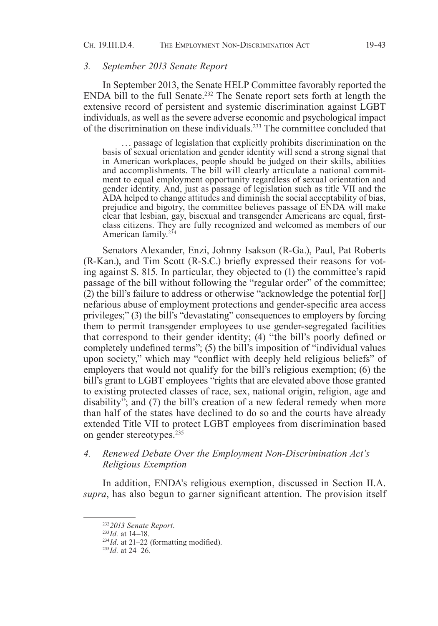### *3. September 2013 Senate Report*

In September 2013, the Senate HELP Committee favorably reported the ENDA bill to the full Senate.<sup>232</sup> The Senate report sets forth at length the extensive record of persistent and systemic discrimination against LGBT individuals, as well as the severe adverse economic and psychological impact of the discrimination on these individuals.233 The committee concluded that

. . . passage of legislation that explicitly prohibits discrimination on the basis of sexual orientation and gender identity will send a strong signal that in American workplaces, people should be judged on their skills, abilities and accomplishments. The bill will clearly articulate a national commitment to equal employment opportunity regardless of sexual orientation and gender identity. And, just as passage of legislation such as title VII and the ADA helped to change attitudes and diminish the social acceptability of bias, prejudice and bigotry, the committee believes passage of ENDA will make clear that lesbian, gay, bisexual and transgender Americans are equal, firstclass citizens. They are fully recognized and welcomed as members of our American family.<sup>234</sup>

Senators Alexander, Enzi, Johnny Isakson (R-Ga.), Paul, Pat Roberts (R-Kan.), and Tim Scott (R-S.C.) briefly expressed their reasons for voting against S. 815. In particular, they objected to (1) the committee's rapid passage of the bill without following the "regular order" of the committee; (2) the bill's failure to address or otherwise "acknowledge the potential for[] nefarious abuse of employment protections and gender-specific area access privileges;" (3) the bill's "devastating" consequences to employers by forcing them to permit transgender employees to use gender-segregated facilities that correspond to their gender identity; (4) "the bill's poorly defined or completely undefined terms"; (5) the bill's imposition of "individual values upon society," which may "conflict with deeply held religious beliefs" of employers that would not qualify for the bill's religious exemption; (6) the bill's grant to LGBT employees "rights that are elevated above those granted to existing protected classes of race, sex, national origin, religion, age and disability"; and (7) the bill's creation of a new federal remedy when more than half of the states have declined to do so and the courts have already extended Title VII to protect LGBT employees from discrimination based on gender stereotypes.235

## *4. Renewed Debate Over the Employment Non-Discrimination Act's Religious Exemption*

In addition, ENDA's religious exemption, discussed in Section II.A. *supra*, has also begun to garner significant attention. The provision itself

<sup>232</sup>*2013 Senate Report*.

<sup>233</sup>*Id.* at 14–18.

 $234$ *Id.* at 21–22 (formatting modified).

<sup>235</sup>*Id.* at 24–26.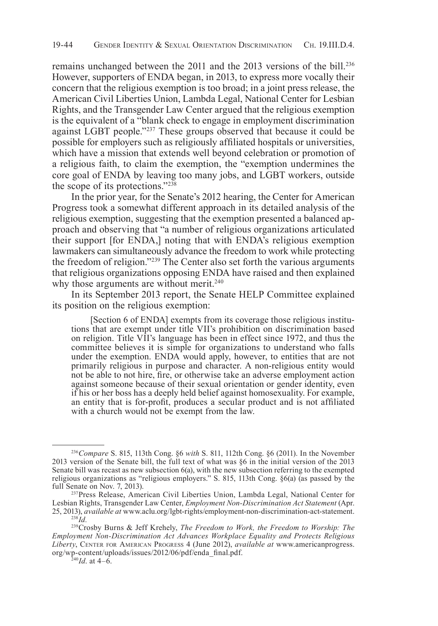remains unchanged between the 2011 and the 2013 versions of the bill.<sup>236</sup> However, supporters of ENDA began, in 2013, to express more vocally their concern that the religious exemption is too broad; in a joint press release, the American Civil Liberties Union, Lambda Legal, National Center for Lesbian Rights, and the Transgender Law Center argued that the religious exemption is the equivalent of a "blank check to engage in employment discrimination against LGBT people."237 These groups observed that because it could be possible for employers such as religiously affiliated hospitals or universities, which have a mission that extends well beyond celebration or promotion of a religious faith, to claim the exemption, the "exemption undermines the core goal of ENDA by leaving too many jobs, and LGBT workers, outside the scope of its protections."238

In the prior year, for the Senate's 2012 hearing, the Center for American Progress took a somewhat different approach in its detailed analysis of the religious exemption, suggesting that the exemption presented a balanced approach and observing that "a number of religious organizations articulated their support [for ENDA,] noting that with ENDA's religious exemption lawmakers can simultaneously advance the freedom to work while protecting the freedom of religion."239 The Center also set forth the various arguments that religious organizations opposing ENDA have raised and then explained why those arguments are without merit.<sup>240</sup>

In its September 2013 report, the Senate HELP Committee explained its position on the religious exemption:

[Section 6 of ENDA] exempts from its coverage those religious institutions that are exempt under title VII's prohibition on discrimination based on religion. Title VII's language has been in effect since 1972, and thus the committee believes it is simple for organizations to understand who falls under the exemption. ENDA would apply, however, to entities that are not primarily religious in purpose and character. A non-religious entity would not be able to not hire, fire, or otherwise take an adverse employment action against someone because of their sexual orientation or gender identity, even if his or her boss has a deeply held belief against homosexuality. For example, an entity that is for-profit, produces a secular product and is not affiliated with a church would not be exempt from the law.

<sup>236</sup>*Compare* S. 815, 113th Cong. §6 *with* S. 811, 112th Cong. §6 (2011). In the November 2013 version of the Senate bill, the full text of what was §6 in the initial version of the 2013 Senate bill was recast as new subsection 6(a), with the new subsection referring to the exempted religious organizations as "religious employers." S. 815, 113th Cong. §6(a) (as passed by the full Senate on Nov. 7, 2013).

<sup>237</sup>Press Release, American Civil Liberties Union, Lambda Legal, National Center for Lesbian Rights, Transgender Law Center, *Employment Non-Discrimination Act Statement* (Apr. 25, 2013), *available at* www.aclu.org/lgbt-rights/employment-non-discrimination-act-statement. <sup>238</sup>*Id.*

<sup>239</sup>Crosby Burns & Jeff Krehely, *The Freedom to Work, the Freedom to Worship: The Employment Non-Discrimination Act Advances Workplace Equality and Protects Religious Liberty*, Center for American Progress 4 (June 2012), *available at* www.americanprogress. org/wp-content/uploads/issues/2012/06/pdf/enda\_final.pdf.

 $^{240}$ *Id.* at 4–6.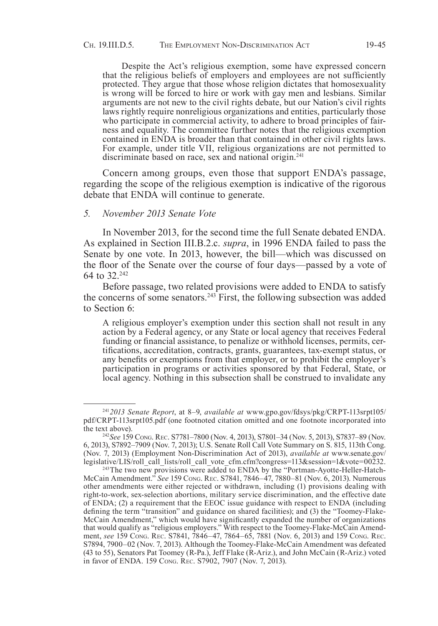Despite the Act's religious exemption, some have expressed concern that the religious beliefs of employers and employees are not sufficiently protected. They argue that those whose religion dictates that homosexuality is wrong will be forced to hire or work with gay men and lesbians. Similar arguments are not new to the civil rights debate, but our Nation's civil rights laws rightly require nonreligious organizations and entities, particularly those who participate in commercial activity, to adhere to broad principles of fairness and equality. The committee further notes that the religious exemption contained in ENDA is broader than that contained in other civil rights laws. For example, under title VII, religious organizations are not permitted to discriminate based on race, sex and national origin.<sup>241</sup>

Concern among groups, even those that support ENDA's passage, regarding the scope of the religious exemption is indicative of the rigorous debate that ENDA will continue to generate.

## *5. November 2013 Senate Vote*

In November 2013, for the second time the full Senate debated ENDA. As explained in Section III.B.2.c. *supra*, in 1996 ENDA failed to pass the Senate by one vote. In 2013, however, the bill—which was discussed on the floor of the Senate over the course of four days—passed by a vote of 64 to 32.242

Before passage, two related provisions were added to ENDA to satisfy the concerns of some senators.243 First, the following subsection was added to Section 6:

A religious employer's exemption under this section shall not result in any action by a Federal agency, or any State or local agency that receives Federal funding or financial assistance, to penalize or withhold licenses, permits, certifications, accreditation, contracts, grants, guarantees, tax-exempt status, or any benefits or exemptions from that employer, or to prohibit the employer's participation in programs or activities sponsored by that Federal, State, or local agency. Nothing in this subsection shall be construed to invalidate any

<sup>241</sup>*2013 Senate Report*, at 8–9, *available at* www.gpo.gov/fdsys/pkg/CRPT-113srpt105/ pdf/CRPT-113srpt105.pdf (one footnoted citation omitted and one footnote incorporated into the text above).

<sup>242</sup>*See* 159 Cong. Rec. S7781–7800 (Nov. 4, 2013), S7801–34 (Nov. 5, 2013), S7837–89 (Nov. 6, 2013), S7892–7909 (Nov. 7, 2013); U.S. Senate Roll Call Vote Summary on S. 815, 113th Cong. (Nov. 7, 2013) (Employment Non-Discrimination Act of 2013), *available at* www.senate.gov/ legislative/LIS/roll\_call\_lists/roll\_call\_vote\_cfm.cfm?congress=113&session=1&vote=00232.

<sup>&</sup>lt;sup>243</sup>The two new provisions were added to ENDA by the "Portman-Ayotte-Heller-Hatch-McCain Amendment." *See* 159 Cong. Rec. S7841, 7846–47, 7880–81 (Nov. 6, 2013). Numerous other amendments were either rejected or withdrawn, including (1) provisions dealing with right-to-work, sex-selection abortions, military service discrimination, and the effective date of ENDA; (2) a requirement that the EEOC issue guidance with respect to ENDA (including defining the term "transition" and guidance on shared facilities); and (3) the "Toomey-Flake-McCain Amendment," which would have significantly expanded the number of organizations that would qualify as "religious employers." With respect to the Toomey-Flake-McCain Amendment, *see* 159 Cong. Rec. S7841, 7846–47, 7864–65, 7881 (Nov. 6, 2013) and 159 Cong. Rec. S7894, 7900–02 (Nov. 7, 2013). Although the Toomey-Flake-McCain Amendment was defeated (43 to 55), Senators Pat Toomey (R-Pa.), Jeff Flake (R-Ariz.), and John McCain (R-Ariz.) voted in favor of ENDA. 159 Cong. Rec. S7902, 7907 (Nov. 7, 2013).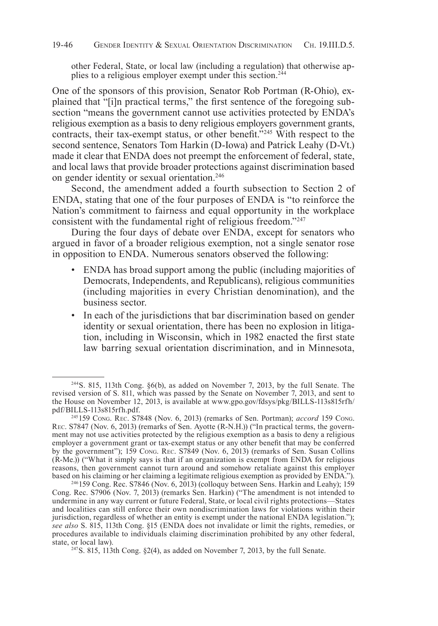other Federal, State, or local law (including a regulation) that otherwise applies to a religious employer exempt under this section.<sup>244</sup>

One of the sponsors of this provision, Senator Rob Portman (R-Ohio), explained that "[i]n practical terms," the first sentence of the foregoing subsection "means the government cannot use activities protected by ENDA's religious exemption as a basis to deny religious employers government grants, contracts, their tax-exempt status, or other benefit."245 With respect to the second sentence, Senators Tom Harkin (D-Iowa) and Patrick Leahy (D-Vt.) made it clear that ENDA does not preempt the enforcement of federal, state, and local laws that provide broader protections against discrimination based on gender identity or sexual orientation.246

Second, the amendment added a fourth subsection to Section 2 of ENDA, stating that one of the four purposes of ENDA is "to reinforce the Nation's commitment to fairness and equal opportunity in the workplace consistent with the fundamental right of religious freedom."247

During the four days of debate over ENDA, except for senators who argued in favor of a broader religious exemption, not a single senator rose in opposition to ENDA. Numerous senators observed the following:

- ENDA has broad support among the public (including majorities of Democrats, Independents, and Republicans), religious communities (including majorities in every Christian denomination), and the business sector.
- In each of the jurisdictions that bar discrimination based on gender identity or sexual orientation, there has been no explosion in litigation, including in Wisconsin, which in 1982 enacted the first state law barring sexual orientation discrimination, and in Minnesota,

<sup>244</sup>S. 815, 113th Cong. §6(b), as added on November 7, 2013, by the full Senate. The revised version of S. 811, which was passed by the Senate on November 7, 2013, and sent to the House on November 12, 2013, is available at www.gpo.gov/fdsys/pkg/BILLS-113s815rfh/ pdf/BILLS-113s815rfh.pdf.

<sup>245159</sup> Cong. Rec. S7848 (Nov. 6, 2013) (remarks of Sen. Portman); *accord* 159 Cong. Rec. S7847 (Nov. 6, 2013) (remarks of Sen. Ayotte (R-N.H.)) ("In practical terms, the government may not use activities protected by the religious exemption as a basis to deny a religious employer a government grant or tax-exempt status or any other benefit that may be conferred by the government"); 159 Cong. Rec. S7849 (Nov. 6, 2013) (remarks of Sen. Susan Collins (R-Me.)) ("What it simply says is that if an organization is exempt from ENDA for religious reasons, then government cannot turn around and somehow retaliate against this employer based on his claiming or her claiming a legitimate religious exemption as provided by ENDA.").

<sup>246159</sup> Cong. Rec. S7846 (Nov. 6, 2013) (colloquy between Sens. Harkin and Leahy); 159 Cong. Rec. S7906 (Nov. 7, 2013) (remarks Sen. Harkin) ("The amendment is not intended to undermine in any way current or future Federal, State, or local civil rights protections—States and localities can still enforce their own nondiscrimination laws for violations within their jurisdiction, regardless of whether an entity is exempt under the national ENDA legislation."); *see also* S. 815, 113th Cong. §15 (ENDA does not invalidate or limit the rights, remedies, or procedures available to individuals claiming discrimination prohibited by any other federal, state, or local law).

 $247S$ . 815, 113th Cong.  $\S2(4)$ , as added on November 7, 2013, by the full Senate.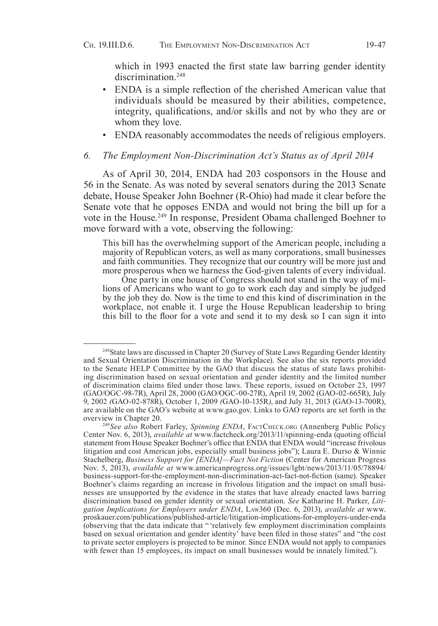which in 1993 enacted the first state law barring gender identity discrimination.<sup>248</sup>

- ENDA is a simple reflection of the cherished American value that individuals should be measured by their abilities, competence, integrity, qualifications, and/or skills and not by who they are or whom they love.
- ENDA reasonably accommodates the needs of religious employers.

#### *6. The Employment Non-Discrimination Act's Status as of April 2014*

As of April 30, 2014, ENDA had 203 cosponsors in the House and 56 in the Senate. As was noted by several senators during the 2013 Senate debate, House Speaker John Boehner (R-Ohio) had made it clear before the Senate vote that he opposes ENDA and would not bring the bill up for a vote in the House.249 In response, President Obama challenged Boehner to move forward with a vote, observing the following:

This bill has the overwhelming support of the American people, including a majority of Republican voters, as well as many corporations, small businesses and faith communities. They recognize that our country will be more just and more prosperous when we harness the God-given talents of every individual.

One party in one house of Congress should not stand in the way of millions of Americans who want to go to work each day and simply be judged by the job they do. Now is the time to end this kind of discrimination in the workplace, not enable it. I urge the House Republican leadership to bring this bill to the floor for a vote and send it to my desk so I can sign it into

<sup>248</sup>State laws are discussed in Chapter 20 (Survey of State Laws Regarding Gender Identity and Sexual Orientation Discrimination in the Workplace). See also the six reports provided to the Senate HELP Committee by the GAO that discuss the status of state laws prohibiting discrimination based on sexual orientation and gender identity and the limited number of discrimination claims filed under those laws. These reports, issued on October 23, 1997 (GAO/OGC-98-7R), April 28, 2000 (GAO/OGC-00-27R), April 19, 2002 (GAO-02-665R), July 9, 2002 *(*GAO-02-878R), October 1, 2009 *(*GAO-10-135R*)*, and July 31, 2013 (GAO-13-700R), are available on the GAO's website at www.gao.gov. Links to GAO reports are set forth in the overview in Chapter 20.

<sup>249</sup>*See also* Robert Farley, *Spinning ENDA*, FactCheck.org (Annenberg Public Policy Center Nov. 6, 2013), *available at* www.factcheck.org/2013/11/spinning-enda (quoting official statement from House Speaker Boehner's office that ENDA that ENDA would "increase frivolous litigation and cost American jobs, especially small business jobs"); Laura E. Durso & Winnie Stachelberg, *Business Support for [ENDA]—Fact Not Fiction* (Center for American Progress Nov. 5, 2013), *available at* www.americanprogress.org/issues/lgbt/news/2013/11/05/78894/ business-support-for-the-employment-non-discrimination-act-fact-not-fiction (same). Speaker Boehner's claims regarding an increase in frivolous litigation and the impact on small businesses are unsupported by the evidence in the states that have already enacted laws barring discrimination based on gender identity or sexual orientation. *See* Katharine H. Parker, *Litigation Implications for Employers under ENDA*, Law360 (Dec. 6, 2013), *available at* www. proskauer.com/publications/published-article/litigation-implications-for-employers-under-enda (observing that the data indicate that " 'relatively few employment discrimination complaints based on sexual orientation and gender identity' have been filed in those states" and "the cost to private sector employers is projected to be minor. Since ENDA would not apply to companies with fewer than 15 employees, its impact on small businesses would be innately limited.").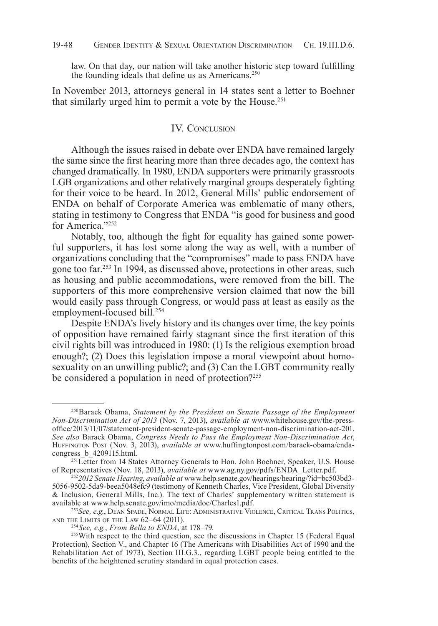law. On that day, our nation will take another historic step toward fulfilling the founding ideals that define us as Americans.<sup>250</sup>

In November 2013, attorneys general in 14 states sent a letter to Boehner that similarly urged him to permit a vote by the House.<sup>251</sup>

## IV. CONCLUSION

Although the issues raised in debate over ENDA have remained largely the same since the first hearing more than three decades ago, the context has changed dramatically. In 1980, ENDA supporters were primarily grassroots LGB organizations and other relatively marginal groups desperately fighting for their voice to be heard. In 2012, General Mills' public endorsement of ENDA on behalf of Corporate America was emblematic of many others, stating in testimony to Congress that ENDA "is good for business and good for America."<sup>252</sup>

Notably, too, although the fight for equality has gained some powerful supporters, it has lost some along the way as well, with a number of organizations concluding that the "compromises" made to pass ENDA have gone too far.253 In 1994, as discussed above, protections in other areas, such as housing and public accommodations, were removed from the bill. The supporters of this more comprehensive version claimed that now the bill would easily pass through Congress, or would pass at least as easily as the employment-focused bill.254

Despite ENDA's lively history and its changes over time, the key points of opposition have remained fairly stagnant since the first iteration of this civil rights bill was introduced in 1980: (1) Is the religious exemption broad enough?; (2) Does this legislation impose a moral viewpoint about homosexuality on an unwilling public?; and (3) Can the LGBT community really be considered a population in need of protection?<sup>255</sup>

<sup>250</sup>Barack Obama, *Statement by the President on Senate Passage of the Employment Non-Discrimination Act of 2013* (Nov. 7, 2013), *available at* www.whitehouse.gov/the-pressoffice/2013/11/07/statement-president-senate-passage-employment-non-discrimination-act-201. *See also* Barack Obama, *Congress Needs to Pass the Employment Non-Discrimination Act*, Huffington Post (Nov. 3, 2013), *available at* www.huffingtonpost.com/barack-obama/endacongress **b** 4209115.html.

<sup>&</sup>lt;sup>251</sup> Letter from 14 States Attorney Generals to Hon. John Boehner, Speaker, U.S. House of Representatives (Nov. 18, 2013), *available at* www.ag.ny.gov/pdfs/ENDA\_Letter.pdf.

<sup>252</sup>*2012 Senate Hearing*, *available at* www.help.senate.gov/hearings/hearing/?id=bc503bd3- 5056-9502-5da9-beea5048efc9 (testimony of Kenneth Charles, Vice President, Global Diversity & Inclusion, General Mills, Inc.). The text of Charles' supplementary written statement is available at www.help.senate.gov/imo/media/doc/Charles1.pdf.

<sup>253</sup>*See, e.g.*, Dean Spade, Normal Life: Administrative Violence, Critical Trans Politics, and the Limits of the Law 62–64 (2011).

<sup>254</sup>*See, e.g.*, *From Bella to ENDA*, at 178–79.

<sup>&</sup>lt;sup>255</sup>With respect to the third question, see the discussions in Chapter 15 (Federal Equal Protection), Section V., and Chapter 16 (The Americans with Disabilities Act of 1990 and the Rehabilitation Act of 1973), Section III.G.3., regarding LGBT people being entitled to the benefits of the heightened scrutiny standard in equal protection cases.